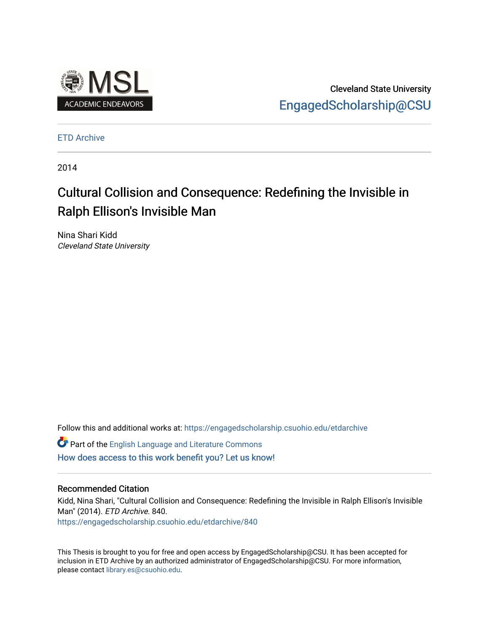

Cleveland State University [EngagedScholarship@CSU](https://engagedscholarship.csuohio.edu/) 

[ETD Archive](https://engagedscholarship.csuohio.edu/etdarchive)

2014

# Cultural Collision and Consequence: Redefining the Invisible in Ralph Ellison's Invisible Man

Nina Shari Kidd Cleveland State University

Follow this and additional works at: [https://engagedscholarship.csuohio.edu/etdarchive](https://engagedscholarship.csuohio.edu/etdarchive?utm_source=engagedscholarship.csuohio.edu%2Fetdarchive%2F840&utm_medium=PDF&utm_campaign=PDFCoverPages)

Part of the [English Language and Literature Commons](https://network.bepress.com/hgg/discipline/455?utm_source=engagedscholarship.csuohio.edu%2Fetdarchive%2F840&utm_medium=PDF&utm_campaign=PDFCoverPages) [How does access to this work benefit you? Let us know!](http://library.csuohio.edu/engaged/)

#### Recommended Citation

Kidd, Nina Shari, "Cultural Collision and Consequence: Redefining the Invisible in Ralph Ellison's Invisible Man" (2014). ETD Archive. 840. [https://engagedscholarship.csuohio.edu/etdarchive/840](https://engagedscholarship.csuohio.edu/etdarchive/840?utm_source=engagedscholarship.csuohio.edu%2Fetdarchive%2F840&utm_medium=PDF&utm_campaign=PDFCoverPages) 

This Thesis is brought to you for free and open access by EngagedScholarship@CSU. It has been accepted for inclusion in ETD Archive by an authorized administrator of EngagedScholarship@CSU. For more information, please contact [library.es@csuohio.edu.](mailto:library.es@csuohio.edu)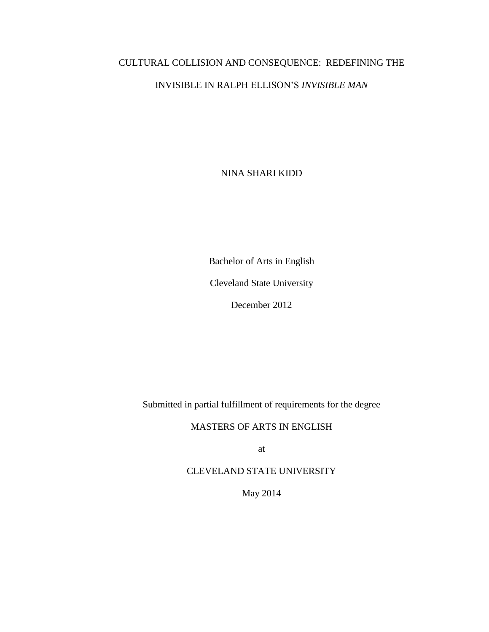# CULTURAL COLLISION AND CONSEQUENCE: REDEFINING THE INVISIBLE IN RALPH ELLISON'S *INVISIBLE MAN*

NINA SHARI KIDD

Bachelor of Arts in English

Cleveland State University

December 2012

Submitted in partial fulfillment of requirements for the degree

MASTERS OF ARTS IN ENGLISH

at

CLEVELAND STATE UNIVERSITY

May 2014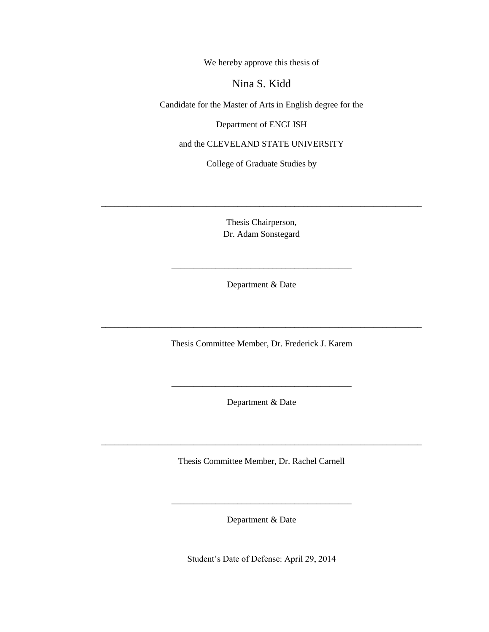We hereby approve this thesis of

## Nina S. Kidd

Candidate for the Master of Arts in English degree for the

Department of ENGLISH

and the CLEVELAND STATE UNIVERSITY

College of Graduate Studies by

Thesis Chairperson, Dr. Adam Sonstegard

\_\_\_\_\_\_\_\_\_\_\_\_\_\_\_\_\_\_\_\_\_\_\_\_\_\_\_\_\_\_\_\_\_\_\_\_\_\_\_\_\_\_\_\_\_\_\_\_\_\_\_\_\_\_\_\_\_\_\_\_\_\_\_\_\_\_\_\_\_\_\_\_\_

Department & Date

\_\_\_\_\_\_\_\_\_\_\_\_\_\_\_\_\_\_\_\_\_\_\_\_\_\_\_\_\_\_\_\_\_\_\_\_\_\_\_\_\_

Thesis Committee Member, Dr. Frederick J. Karem

\_\_\_\_\_\_\_\_\_\_\_\_\_\_\_\_\_\_\_\_\_\_\_\_\_\_\_\_\_\_\_\_\_\_\_\_\_\_\_\_\_\_\_\_\_\_\_\_\_\_\_\_\_\_\_\_\_\_\_\_\_\_\_\_\_\_\_\_\_\_\_\_\_

Department & Date

\_\_\_\_\_\_\_\_\_\_\_\_\_\_\_\_\_\_\_\_\_\_\_\_\_\_\_\_\_\_\_\_\_\_\_\_\_\_\_\_\_

Thesis Committee Member, Dr. Rachel Carnell

\_\_\_\_\_\_\_\_\_\_\_\_\_\_\_\_\_\_\_\_\_\_\_\_\_\_\_\_\_\_\_\_\_\_\_\_\_\_\_\_\_\_\_\_\_\_\_\_\_\_\_\_\_\_\_\_\_\_\_\_\_\_\_\_\_\_\_\_\_\_\_\_\_

Department & Date

\_\_\_\_\_\_\_\_\_\_\_\_\_\_\_\_\_\_\_\_\_\_\_\_\_\_\_\_\_\_\_\_\_\_\_\_\_\_\_\_\_

Student's Date of Defense: April 29, 2014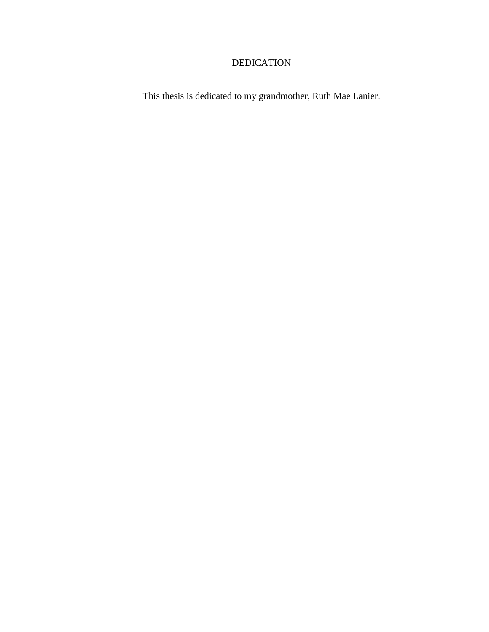## DEDICATION

This thesis is dedicated to my grandmother, Ruth Mae Lanier.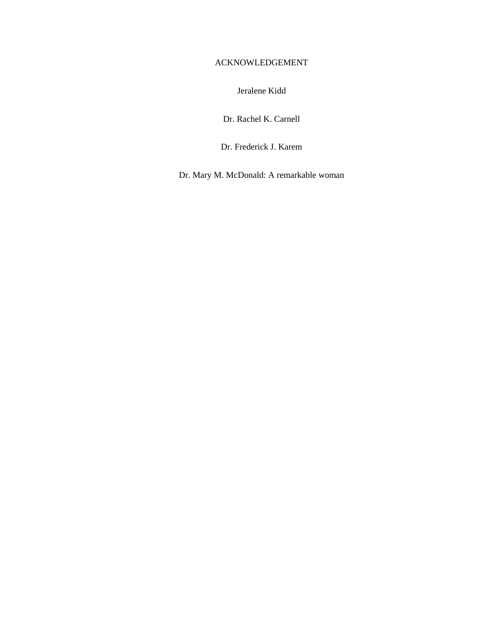## ACKNOWLEDGEMENT

Jeralene Kidd

Dr. Rachel K. Carnell

Dr. Frederick J. Karem

Dr. Mary M. McDonald: A remarkable woman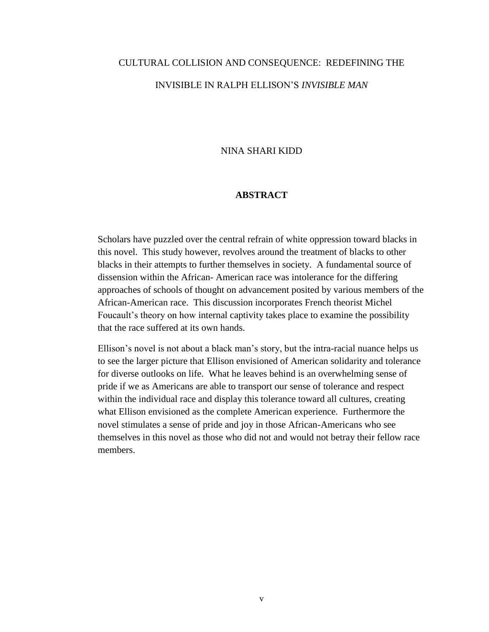## CULTURAL COLLISION AND CONSEQUENCE: REDEFINING THE INVISIBLE IN RALPH ELLISON'S *INVISIBLE MAN*

## NINA SHARI KIDD

## **ABSTRACT**

Scholars have puzzled over the central refrain of white oppression toward blacks in this novel. This study however, revolves around the treatment of blacks to other blacks in their attempts to further themselves in society. A fundamental source of dissension within the African- American race was intolerance for the differing approaches of schools of thought on advancement posited by various members of the African-American race. This discussion incorporates French theorist Michel Foucault's theory on how internal captivity takes place to examine the possibility that the race suffered at its own hands.

Ellison's novel is not about a black man's story, but the intra-racial nuance helps us to see the larger picture that Ellison envisioned of American solidarity and tolerance for diverse outlooks on life. What he leaves behind is an overwhelming sense of pride if we as Americans are able to transport our sense of tolerance and respect within the individual race and display this tolerance toward all cultures, creating what Ellison envisioned as the complete American experience. Furthermore the novel stimulates a sense of pride and joy in those African-Americans who see themselves in this novel as those who did not and would not betray their fellow race members.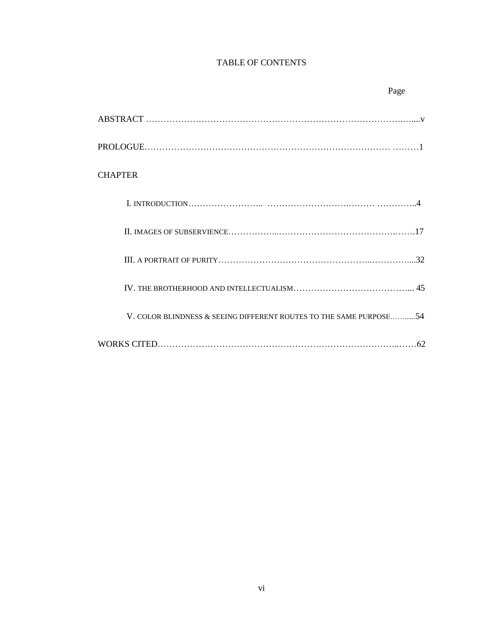## TABLE OF CONTENTS

| <b>CHAPTER</b>                                                     |
|--------------------------------------------------------------------|
|                                                                    |
|                                                                    |
|                                                                    |
|                                                                    |
| V. COLOR BLINDNESS & SEEING DIFFERENT ROUTES TO THE SAME PURPOSE54 |
|                                                                    |

#### Page **Page**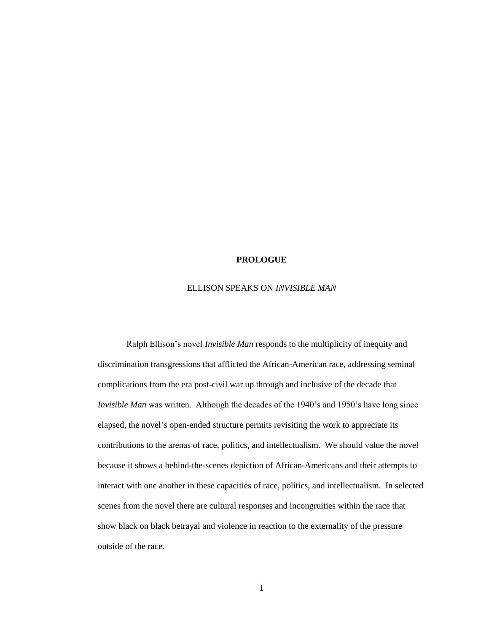#### **PROLOGUE**

#### ELLISON SPEAKS ON *INVISIBLE MAN*

Ralph Ellison's novel *Invisible Man* responds to the multiplicity of inequity and discrimination transgressions that afflicted the African-American race, addressing seminal complications from the era post-civil war up through and inclusive of the decade that *Invisible Man* was written. Although the decades of the 1940's and 1950's have long since elapsed, the novel's open-ended structure permits revisiting the work to appreciate its contributions to the arenas of race, politics, and intellectualism. We should value the novel because it shows a behind-the-scenes depiction of African-Americans and their attempts to interact with one another in these capacities of race, politics, and intellectualism. In selected scenes from the novel there are cultural responses and incongruities within the race that show black on black betrayal and violence in reaction to the externality of the pressure outside of the race.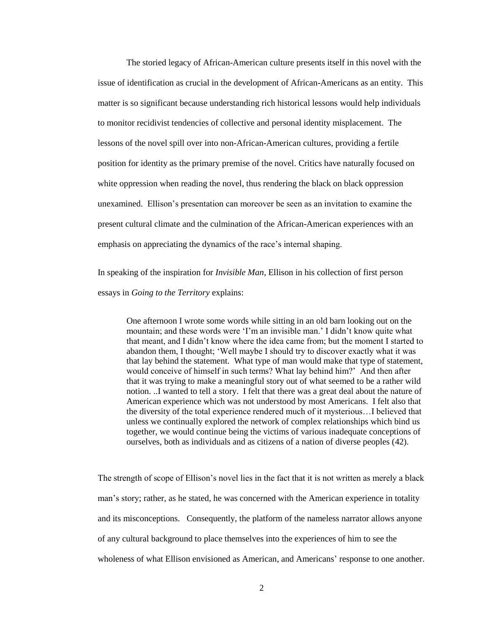The storied legacy of African-American culture presents itself in this novel with the issue of identification as crucial in the development of African-Americans as an entity. This matter is so significant because understanding rich historical lessons would help individuals to monitor recidivist tendencies of collective and personal identity misplacement. The lessons of the novel spill over into non-African-American cultures, providing a fertile position for identity as the primary premise of the novel. Critics have naturally focused on white oppression when reading the novel, thus rendering the black on black oppression unexamined. Ellison's presentation can moreover be seen as an invitation to examine the present cultural climate and the culmination of the African-American experiences with an emphasis on appreciating the dynamics of the race's internal shaping.

In speaking of the inspiration for *Invisible Man*, Ellison in his collection of first person essays in *Going to the Territory* explains:

One afternoon I wrote some words while sitting in an old barn looking out on the mountain; and these words were 'I'm an invisible man.' I didn't know quite what that meant, and I didn't know where the idea came from; but the moment I started to abandon them, I thought; 'Well maybe I should try to discover exactly what it was that lay behind the statement. What type of man would make that type of statement, would conceive of himself in such terms? What lay behind him?' And then after that it was trying to make a meaningful story out of what seemed to be a rather wild notion. ..I wanted to tell a story. I felt that there was a great deal about the nature of American experience which was not understood by most Americans. I felt also that the diversity of the total experience rendered much of it mysterious…I believed that unless we continually explored the network of complex relationships which bind us together, we would continue being the victims of various inadequate conceptions of ourselves, both as individuals and as citizens of a nation of diverse peoples (42).

The strength of scope of Ellison's novel lies in the fact that it is not written as merely a black man's story; rather, as he stated, he was concerned with the American experience in totality and its misconceptions. Consequently, the platform of the nameless narrator allows anyone of any cultural background to place themselves into the experiences of him to see the wholeness of what Ellison envisioned as American, and Americans' response to one another.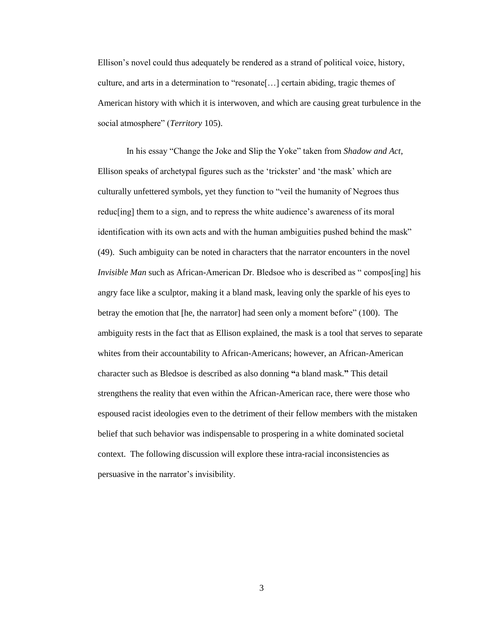Ellison's novel could thus adequately be rendered as a strand of political voice, history, culture, and arts in a determination to "resonate[…] certain abiding, tragic themes of American history with which it is interwoven, and which are causing great turbulence in the social atmosphere" (*Territory* 105).

In his essay "Change the Joke and Slip the Yoke" taken from *Shadow and Act*, Ellison speaks of archetypal figures such as the 'trickster' and 'the mask' which are culturally unfettered symbols, yet they function to "veil the humanity of Negroes thus reduc[ing] them to a sign, and to repress the white audience's awareness of its moral identification with its own acts and with the human ambiguities pushed behind the mask" (49). Such ambiguity can be noted in characters that the narrator encounters in the novel *Invisible Man* such as African-American Dr. Bledsoe who is described as "compos[ing] his angry face like a sculptor, making it a bland mask, leaving only the sparkle of his eyes to betray the emotion that [he, the narrator] had seen only a moment before" (100). The ambiguity rests in the fact that as Ellison explained, the mask is a tool that serves to separate whites from their accountability to African-Americans; however, an African-American character such as Bledsoe is described as also donning **"**a bland mask.**"** This detail strengthens the reality that even within the African-American race, there were those who espoused racist ideologies even to the detriment of their fellow members with the mistaken belief that such behavior was indispensable to prospering in a white dominated societal context. The following discussion will explore these intra-racial inconsistencies as persuasive in the narrator's invisibility.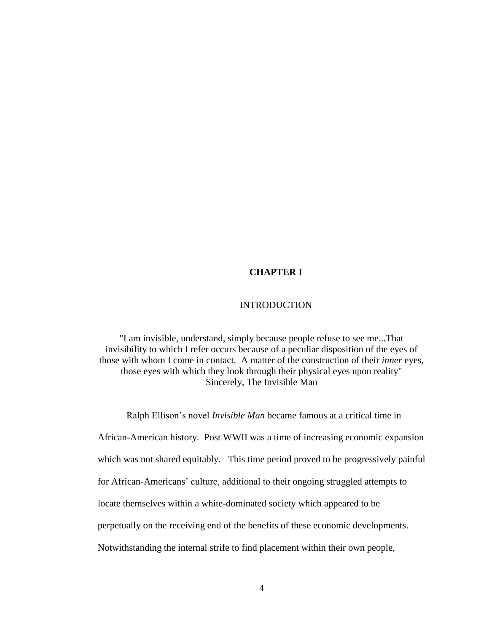## **CHAPTER I**

## INTRODUCTION

"I am invisible, understand, simply because people refuse to see me...That invisibility to which I refer occurs because of a peculiar disposition of the eyes of those with whom I come in contact. A matter of the construction of their *inner* eyes, those eyes with which they look through their physical eyes upon reality" Sincerely, The Invisible Man

Ralph Ellison's novel *Invisible Man* became famous at a critical time in African-American history. Post WWII was a time of increasing economic expansion which was not shared equitably. This time period proved to be progressively painful for African-Americans' culture, additional to their ongoing struggled attempts to locate themselves within a white-dominated society which appeared to be perpetually on the receiving end of the benefits of these economic developments. Notwithstanding the internal strife to find placement within their own people,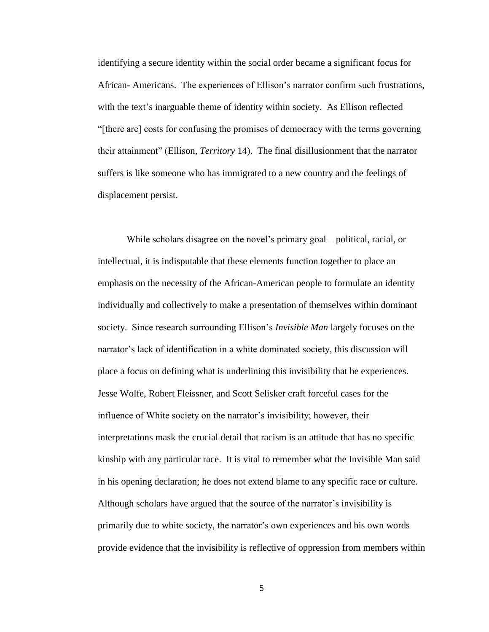identifying a secure identity within the social order became a significant focus for African- Americans. The experiences of Ellison's narrator confirm such frustrations, with the text's inarguable theme of identity within society. As Ellison reflected "[there are] costs for confusing the promises of democracy with the terms governing their attainment" (Ellison, *Territory* 14). The final disillusionment that the narrator suffers is like someone who has immigrated to a new country and the feelings of displacement persist.

While scholars disagree on the novel's primary goal – political, racial, or intellectual, it is indisputable that these elements function together to place an emphasis on the necessity of the African-American people to formulate an identity individually and collectively to make a presentation of themselves within dominant society. Since research surrounding Ellison's *Invisible Man* largely focuses on the narrator's lack of identification in a white dominated society, this discussion will place a focus on defining what is underlining this invisibility that he experiences. Jesse Wolfe, Robert Fleissner, and Scott Selisker craft forceful cases for the influence of White society on the narrator's invisibility; however, their interpretations mask the crucial detail that racism is an attitude that has no specific kinship with any particular race. It is vital to remember what the Invisible Man said in his opening declaration; he does not extend blame to any specific race or culture. Although scholars have argued that the source of the narrator's invisibility is primarily due to white society, the narrator's own experiences and his own words provide evidence that the invisibility is reflective of oppression from members within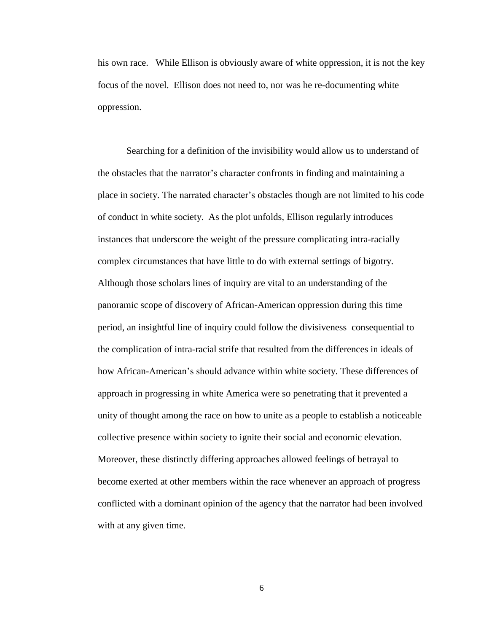his own race. While Ellison is obviously aware of white oppression, it is not the key focus of the novel. Ellison does not need to, nor was he re-documenting white oppression.

Searching for a definition of the invisibility would allow us to understand of the obstacles that the narrator's character confronts in finding and maintaining a place in society. The narrated character's obstacles though are not limited to his code of conduct in white society. As the plot unfolds, Ellison regularly introduces instances that underscore the weight of the pressure complicating intra-racially complex circumstances that have little to do with external settings of bigotry. Although those scholars lines of inquiry are vital to an understanding of the panoramic scope of discovery of African-American oppression during this time period, an insightful line of inquiry could follow the divisiveness consequential to the complication of intra-racial strife that resulted from the differences in ideals of how African-American's should advance within white society. These differences of approach in progressing in white America were so penetrating that it prevented a unity of thought among the race on how to unite as a people to establish a noticeable collective presence within society to ignite their social and economic elevation. Moreover, these distinctly differing approaches allowed feelings of betrayal to become exerted at other members within the race whenever an approach of progress conflicted with a dominant opinion of the agency that the narrator had been involved with at any given time.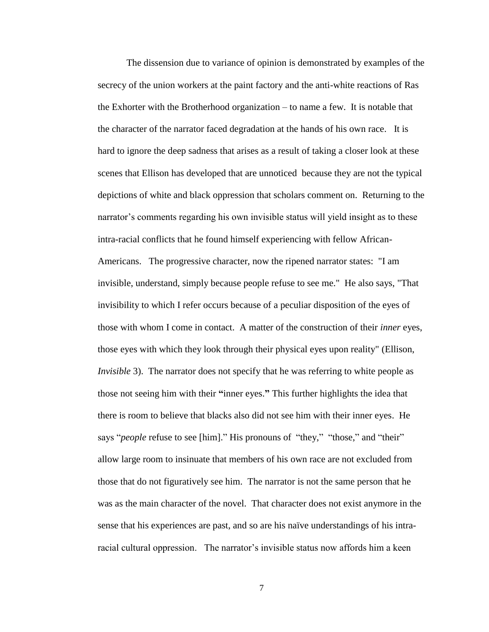The dissension due to variance of opinion is demonstrated by examples of the secrecy of the union workers at the paint factory and the anti-white reactions of Ras the Exhorter with the Brotherhood organization – to name a few. It is notable that the character of the narrator faced degradation at the hands of his own race. It is hard to ignore the deep sadness that arises as a result of taking a closer look at these scenes that Ellison has developed that are unnoticed because they are not the typical depictions of white and black oppression that scholars comment on. Returning to the narrator's comments regarding his own invisible status will yield insight as to these intra-racial conflicts that he found himself experiencing with fellow African-Americans. The progressive character, now the ripened narrator states: "I am invisible, understand, simply because people refuse to see me." He also says, "That invisibility to which I refer occurs because of a peculiar disposition of the eyes of those with whom I come in contact. A matter of the construction of their *inner* eyes, those eyes with which they look through their physical eyes upon reality" (Ellison, *Invisible* 3). The narrator does not specify that he was referring to white people as those not seeing him with their **"**inner eyes.**"** This further highlights the idea that there is room to believe that blacks also did not see him with their inner eyes. He says "*people* refuse to see [him]." His pronouns of "they," "those," and "their" allow large room to insinuate that members of his own race are not excluded from those that do not figuratively see him. The narrator is not the same person that he was as the main character of the novel. That character does not exist anymore in the sense that his experiences are past, and so are his naïve understandings of his intraracial cultural oppression. The narrator's invisible status now affords him a keen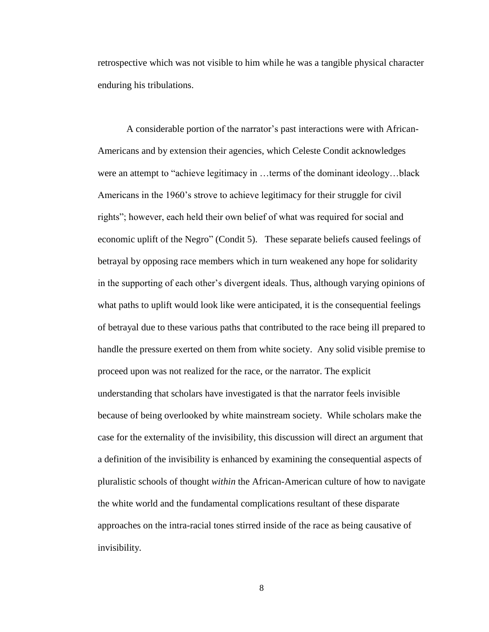retrospective which was not visible to him while he was a tangible physical character enduring his tribulations.

A considerable portion of the narrator's past interactions were with African-Americans and by extension their agencies, which Celeste Condit acknowledges were an attempt to "achieve legitimacy in …terms of the dominant ideology…black Americans in the 1960's strove to achieve legitimacy for their struggle for civil rights"; however, each held their own belief of what was required for social and economic uplift of the Negro" (Condit 5). These separate beliefs caused feelings of betrayal by opposing race members which in turn weakened any hope for solidarity in the supporting of each other's divergent ideals. Thus, although varying opinions of what paths to uplift would look like were anticipated, it is the consequential feelings of betrayal due to these various paths that contributed to the race being ill prepared to handle the pressure exerted on them from white society. Any solid visible premise to proceed upon was not realized for the race, or the narrator. The explicit understanding that scholars have investigated is that the narrator feels invisible because of being overlooked by white mainstream society. While scholars make the case for the externality of the invisibility, this discussion will direct an argument that a definition of the invisibility is enhanced by examining the consequential aspects of pluralistic schools of thought *within* the African-American culture of how to navigate the white world and the fundamental complications resultant of these disparate approaches on the intra-racial tones stirred inside of the race as being causative of invisibility.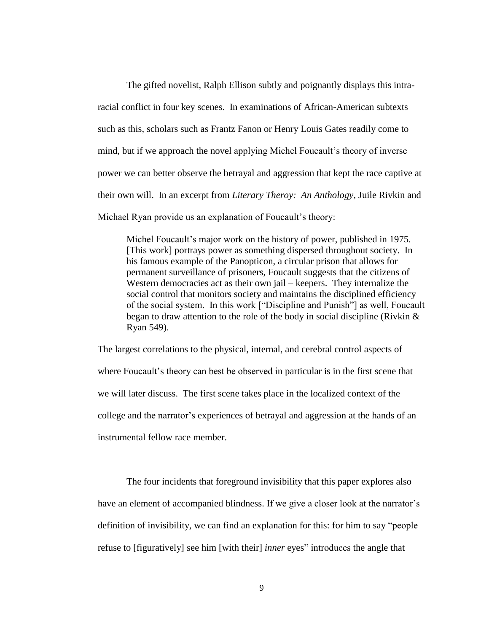The gifted novelist, Ralph Ellison subtly and poignantly displays this intraracial conflict in four key scenes. In examinations of African-American subtexts such as this, scholars such as Frantz Fanon or Henry Louis Gates readily come to mind, but if we approach the novel applying Michel Foucault's theory of inverse power we can better observe the betrayal and aggression that kept the race captive at their own will. In an excerpt from *Literary Theroy: An Anthology*, Juile Rivkin and Michael Ryan provide us an explanation of Foucault's theory:

Michel Foucault's major work on the history of power, published in 1975. [This work] portrays power as something dispersed throughout society. In his famous example of the Panopticon, a circular prison that allows for permanent surveillance of prisoners, Foucault suggests that the citizens of Western democracies act as their own jail – keepers. They internalize the social control that monitors society and maintains the disciplined efficiency of the social system. In this work ["Discipline and Punish"] as well, Foucault began to draw attention to the role of the body in social discipline (Rivkin & Ryan 549).

The largest correlations to the physical, internal, and cerebral control aspects of where Foucault's theory can best be observed in particular is in the first scene that we will later discuss. The first scene takes place in the localized context of the college and the narrator's experiences of betrayal and aggression at the hands of an instrumental fellow race member.

The four incidents that foreground invisibility that this paper explores also have an element of accompanied blindness. If we give a closer look at the narrator's definition of invisibility, we can find an explanation for this: for him to say "people refuse to [figuratively] see him [with their] *inner* eyes" introduces the angle that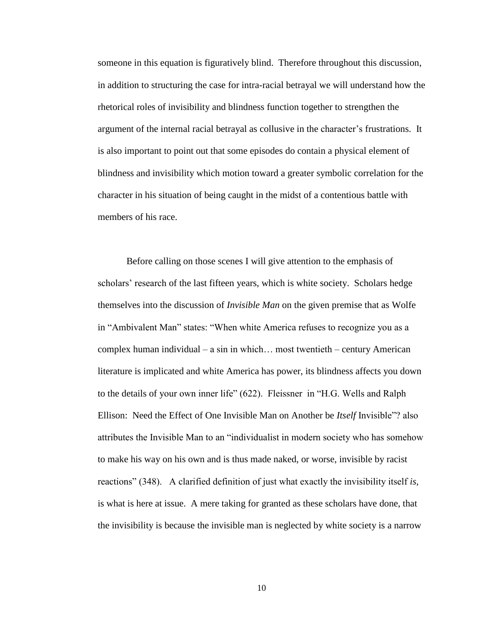someone in this equation is figuratively blind. Therefore throughout this discussion, in addition to structuring the case for intra-racial betrayal we will understand how the rhetorical roles of invisibility and blindness function together to strengthen the argument of the internal racial betrayal as collusive in the character's frustrations. It is also important to point out that some episodes do contain a physical element of blindness and invisibility which motion toward a greater symbolic correlation for the character in his situation of being caught in the midst of a contentious battle with members of his race.

Before calling on those scenes I will give attention to the emphasis of scholars' research of the last fifteen years, which is white society. Scholars hedge themselves into the discussion of *Invisible Man* on the given premise that as Wolfe in "Ambivalent Man" states: "When white America refuses to recognize you as a complex human individual – a sin in which… most twentieth – century American literature is implicated and white America has power, its blindness affects you down to the details of your own inner life" (622). Fleissner in "H.G. Wells and Ralph Ellison: Need the Effect of One Invisible Man on Another be *Itself* Invisible"? also attributes the Invisible Man to an "individualist in modern society who has somehow to make his way on his own and is thus made naked, or worse, invisible by racist reactions" (348). A clarified definition of just what exactly the invisibility itself *is,*  is what is here at issue. A mere taking for granted as these scholars have done, that the invisibility is because the invisible man is neglected by white society is a narrow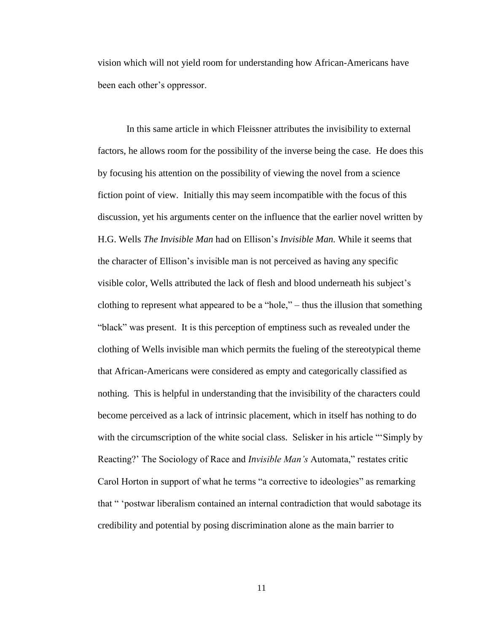vision which will not yield room for understanding how African-Americans have been each other's oppressor.

In this same article in which Fleissner attributes the invisibility to external factors, he allows room for the possibility of the inverse being the case. He does this by focusing his attention on the possibility of viewing the novel from a science fiction point of view. Initially this may seem incompatible with the focus of this discussion, yet his arguments center on the influence that the earlier novel written by H.G. Wells *The Invisible Man* had on Ellison's *Invisible Man.* While it seems that the character of Ellison's invisible man is not perceived as having any specific visible color, Wells attributed the lack of flesh and blood underneath his subject's clothing to represent what appeared to be a "hole," – thus the illusion that something "black" was present. It is this perception of emptiness such as revealed under the clothing of Wells invisible man which permits the fueling of the stereotypical theme that African-Americans were considered as empty and categorically classified as nothing. This is helpful in understanding that the invisibility of the characters could become perceived as a lack of intrinsic placement, which in itself has nothing to do with the circumscription of the white social class. Selisker in his article "'Simply by Reacting?' The Sociology of Race and *Invisible Man's* Automata," restates critic Carol Horton in support of what he terms "a corrective to ideologies" as remarking that " 'postwar liberalism contained an internal contradiction that would sabotage its credibility and potential by posing discrimination alone as the main barrier to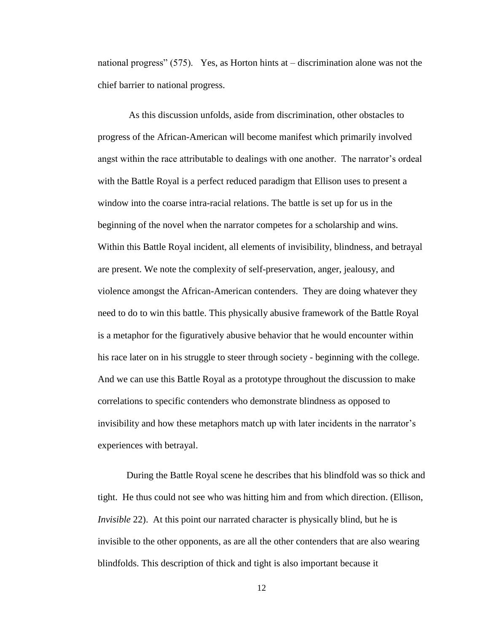national progress" (575). Yes, as Horton hints at – discrimination alone was not the chief barrier to national progress.

As this discussion unfolds, aside from discrimination, other obstacles to progress of the African-American will become manifest which primarily involved angst within the race attributable to dealings with one another. The narrator's ordeal with the Battle Royal is a perfect reduced paradigm that Ellison uses to present a window into the coarse intra-racial relations. The battle is set up for us in the beginning of the novel when the narrator competes for a scholarship and wins. Within this Battle Royal incident, all elements of invisibility, blindness, and betrayal are present. We note the complexity of self-preservation, anger, jealousy, and violence amongst the African-American contenders. They are doing whatever they need to do to win this battle. This physically abusive framework of the Battle Royal is a metaphor for the figuratively abusive behavior that he would encounter within his race later on in his struggle to steer through society - beginning with the college. And we can use this Battle Royal as a prototype throughout the discussion to make correlations to specific contenders who demonstrate blindness as opposed to invisibility and how these metaphors match up with later incidents in the narrator's experiences with betrayal.

During the Battle Royal scene he describes that his blindfold was so thick and tight. He thus could not see who was hitting him and from which direction. (Ellison, *Invisible* 22). At this point our narrated character is physically blind, but he is invisible to the other opponents, as are all the other contenders that are also wearing blindfolds. This description of thick and tight is also important because it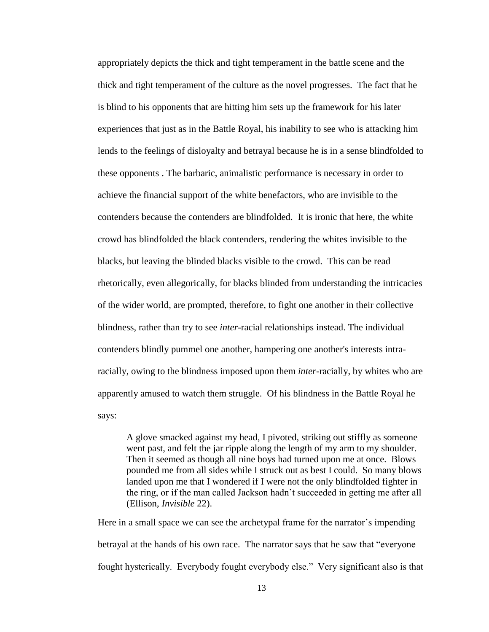appropriately depicts the thick and tight temperament in the battle scene and the thick and tight temperament of the culture as the novel progresses. The fact that he is blind to his opponents that are hitting him sets up the framework for his later experiences that just as in the Battle Royal, his inability to see who is attacking him lends to the feelings of disloyalty and betrayal because he is in a sense blindfolded to these opponents . The barbaric, animalistic performance is necessary in order to achieve the financial support of the white benefactors, who are invisible to the contenders because the contenders are blindfolded. It is ironic that here, the white crowd has blindfolded the black contenders, rendering the whites invisible to the blacks, but leaving the blinded blacks visible to the crowd. This can be read rhetorically, even allegorically, for blacks blinded from understanding the intricacies of the wider world, are prompted, therefore, to fight one another in their collective blindness, rather than try to see *inter*-racial relationships instead. The individual contenders blindly pummel one another, hampering one another's interests intraracially, owing to the blindness imposed upon them *inter*-racially, by whites who are apparently amused to watch them struggle. Of his blindness in the Battle Royal he says:

A glove smacked against my head, I pivoted, striking out stiffly as someone went past, and felt the jar ripple along the length of my arm to my shoulder. Then it seemed as though all nine boys had turned upon me at once. Blows pounded me from all sides while I struck out as best I could. So many blows landed upon me that I wondered if I were not the only blindfolded fighter in the ring, or if the man called Jackson hadn't succeeded in getting me after all (Ellison, *Invisible* 22).

Here in a small space we can see the archetypal frame for the narrator's impending betrayal at the hands of his own race. The narrator says that he saw that "everyone fought hysterically. Everybody fought everybody else." Very significant also is that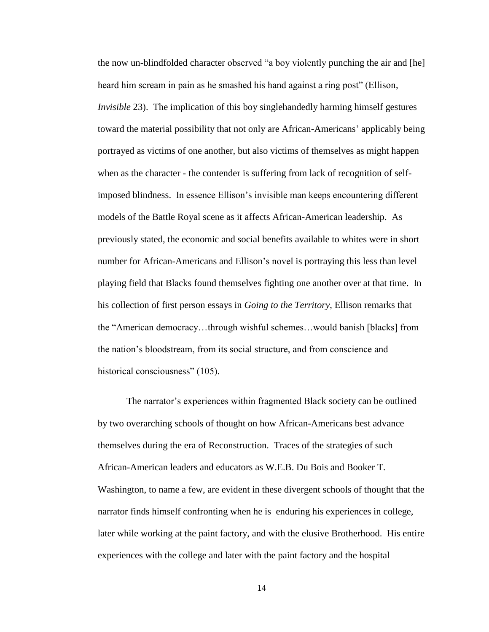the now un-blindfolded character observed "a boy violently punching the air and [he] heard him scream in pain as he smashed his hand against a ring post" (Ellison, *Invisible* 23). The implication of this boy singlehandedly harming himself gestures toward the material possibility that not only are African-Americans' applicably being portrayed as victims of one another, but also victims of themselves as might happen when as the character - the contender is suffering from lack of recognition of selfimposed blindness. In essence Ellison's invisible man keeps encountering different models of the Battle Royal scene as it affects African-American leadership. As previously stated, the economic and social benefits available to whites were in short number for African-Americans and Ellison's novel is portraying this less than level playing field that Blacks found themselves fighting one another over at that time. In his collection of first person essays in *Going to the Territory*, Ellison remarks that the "American democracy…through wishful schemes…would banish [blacks] from the nation's bloodstream, from its social structure, and from conscience and historical consciousness" (105).

The narrator's experiences within fragmented Black society can be outlined by two overarching schools of thought on how African-Americans best advance themselves during the era of Reconstruction. Traces of the strategies of such African-American leaders and educators as W.E.B. Du Bois and Booker T. Washington, to name a few, are evident in these divergent schools of thought that the narrator finds himself confronting when he is enduring his experiences in college, later while working at the paint factory, and with the elusive Brotherhood. His entire experiences with the college and later with the paint factory and the hospital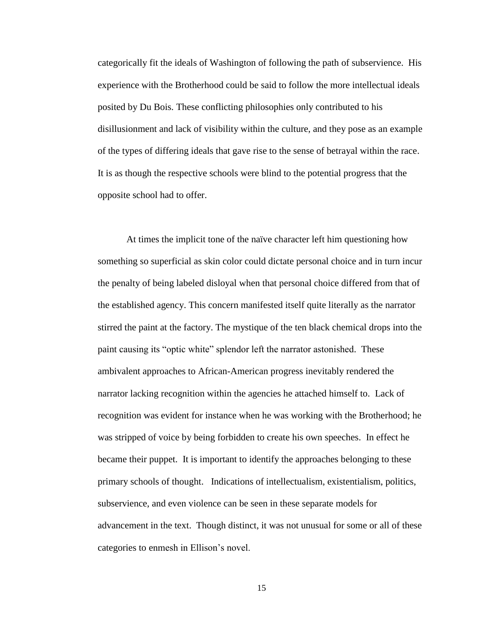categorically fit the ideals of Washington of following the path of subservience. His experience with the Brotherhood could be said to follow the more intellectual ideals posited by Du Bois. These conflicting philosophies only contributed to his disillusionment and lack of visibility within the culture, and they pose as an example of the types of differing ideals that gave rise to the sense of betrayal within the race. It is as though the respective schools were blind to the potential progress that the opposite school had to offer.

At times the implicit tone of the naïve character left him questioning how something so superficial as skin color could dictate personal choice and in turn incur the penalty of being labeled disloyal when that personal choice differed from that of the established agency. This concern manifested itself quite literally as the narrator stirred the paint at the factory. The mystique of the ten black chemical drops into the paint causing its "optic white" splendor left the narrator astonished. These ambivalent approaches to African-American progress inevitably rendered the narrator lacking recognition within the agencies he attached himself to. Lack of recognition was evident for instance when he was working with the Brotherhood; he was stripped of voice by being forbidden to create his own speeches. In effect he became their puppet. It is important to identify the approaches belonging to these primary schools of thought. Indications of intellectualism, existentialism, politics, subservience, and even violence can be seen in these separate models for advancement in the text. Though distinct, it was not unusual for some or all of these categories to enmesh in Ellison's novel.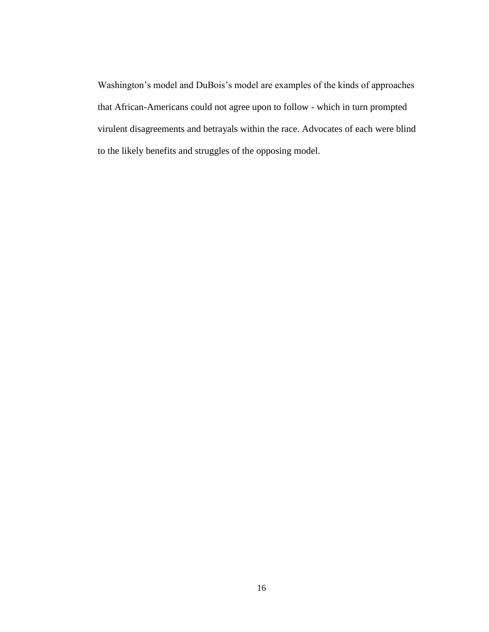Washington's model and DuBois's model are examples of the kinds of approaches that African-Americans could not agree upon to follow - which in turn prompted virulent disagreements and betrayals within the race. Advocates of each were blind to the likely benefits and struggles of the opposing model.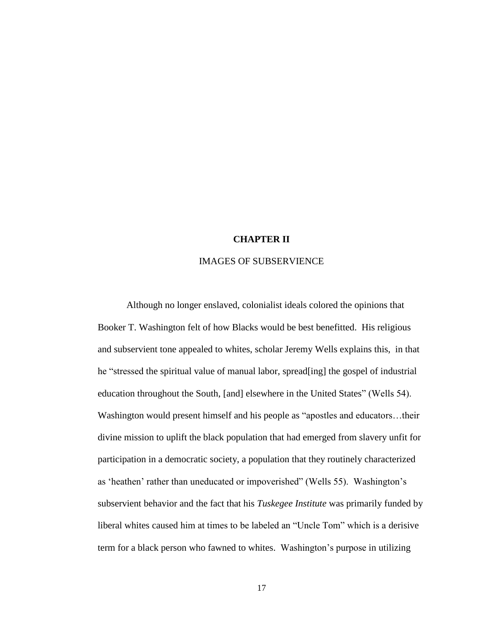## **CHAPTER II**

#### IMAGES OF SUBSERVIENCE

Although no longer enslaved, colonialist ideals colored the opinions that Booker T. Washington felt of how Blacks would be best benefitted. His religious and subservient tone appealed to whites, scholar Jeremy Wells explains this, in that he "stressed the spiritual value of manual labor, spread[ing] the gospel of industrial education throughout the South, [and] elsewhere in the United States" (Wells 54). Washington would present himself and his people as "apostles and educators…their divine mission to uplift the black population that had emerged from slavery unfit for participation in a democratic society, a population that they routinely characterized as 'heathen' rather than uneducated or impoverished" (Wells 55). Washington's subservient behavior and the fact that his *Tuskegee Institute* was primarily funded by liberal whites caused him at times to be labeled an "Uncle Tom" which is a derisive term for a black person who fawned to whites. Washington's purpose in utilizing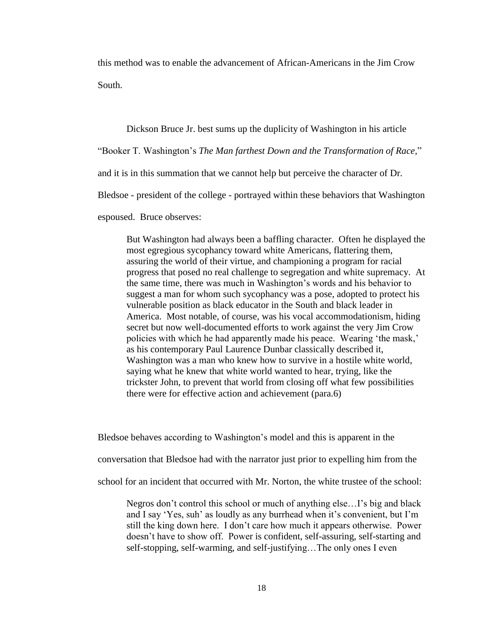this method was to enable the advancement of African-Americans in the Jim Crow South.

Dickson Bruce Jr. best sums up the duplicity of Washington in his article

"Booker T. Washington's *The Man farthest Down and the Transformation of Race,*"

and it is in this summation that we cannot help but perceive the character of Dr.

Bledsoe - president of the college - portrayed within these behaviors that Washington

espoused. Bruce observes:

But Washington had always been a baffling character. Often he displayed the most egregious sycophancy toward white Americans, flattering them, assuring the world of their virtue, and championing a program for racial progress that posed no real challenge to segregation and white supremacy. At the same time, there was much in Washington's words and his behavior to suggest a man for whom such sycophancy was a pose, adopted to protect his vulnerable position as black educator in the South and black leader in America. Most notable, of course, was his vocal accommodationism, hiding secret but now well-documented efforts to work against the very Jim Crow policies with which he had apparently made his peace. Wearing 'the mask,' as his contemporary Paul Laurence Dunbar classically described it, Washington was a man who knew how to survive in a hostile white world, saying what he knew that white world wanted to hear, trying, like the trickster John, to prevent that world from closing off what few possibilities there were for effective action and achievement (para.6)

Bledsoe behaves according to Washington's model and this is apparent in the

conversation that Bledsoe had with the narrator just prior to expelling him from the

school for an incident that occurred with Mr. Norton, the white trustee of the school:

Negros don't control this school or much of anything else…I's big and black and I say 'Yes, suh' as loudly as any burrhead when it's convenient, but I'm still the king down here. I don't care how much it appears otherwise. Power doesn't have to show off. Power is confident, self-assuring, self-starting and self-stopping, self-warming, and self-justifying…The only ones I even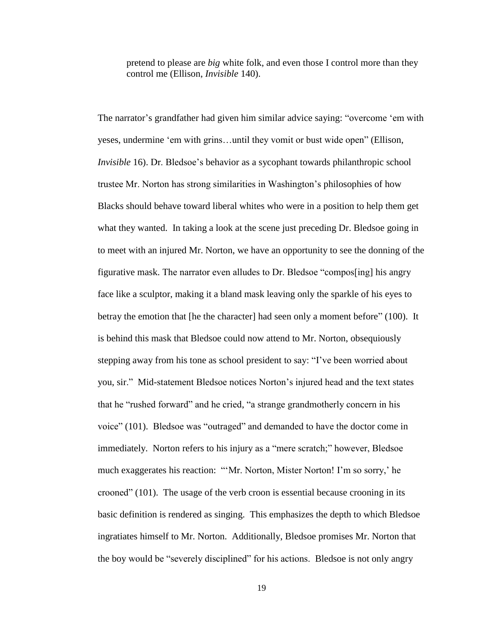pretend to please are *big* white folk, and even those I control more than they control me (Ellison, *Invisible* 140).

The narrator's grandfather had given him similar advice saying: "overcome 'em with yeses, undermine 'em with grins…until they vomit or bust wide open" (Ellison, *Invisible* 16). Dr. Bledsoe's behavior as a sycophant towards philanthropic school trustee Mr. Norton has strong similarities in Washington's philosophies of how Blacks should behave toward liberal whites who were in a position to help them get what they wanted. In taking a look at the scene just preceding Dr. Bledsoe going in to meet with an injured Mr. Norton, we have an opportunity to see the donning of the figurative mask. The narrator even alludes to Dr. Bledsoe "compos[ing] his angry face like a sculptor, making it a bland mask leaving only the sparkle of his eyes to betray the emotion that [he the character] had seen only a moment before" (100). It is behind this mask that Bledsoe could now attend to Mr. Norton, obsequiously stepping away from his tone as school president to say: "I've been worried about you, sir." Mid-statement Bledsoe notices Norton's injured head and the text states that he "rushed forward" and he cried, "a strange grandmotherly concern in his voice" (101). Bledsoe was "outraged" and demanded to have the doctor come in immediately. Norton refers to his injury as a "mere scratch;" however, Bledsoe much exaggerates his reaction: "'Mr. Norton, Mister Norton! I'm so sorry,' he crooned" (101). The usage of the verb croon is essential because crooning in its basic definition is rendered as singing. This emphasizes the depth to which Bledsoe ingratiates himself to Mr. Norton. Additionally, Bledsoe promises Mr. Norton that the boy would be "severely disciplined" for his actions. Bledsoe is not only angry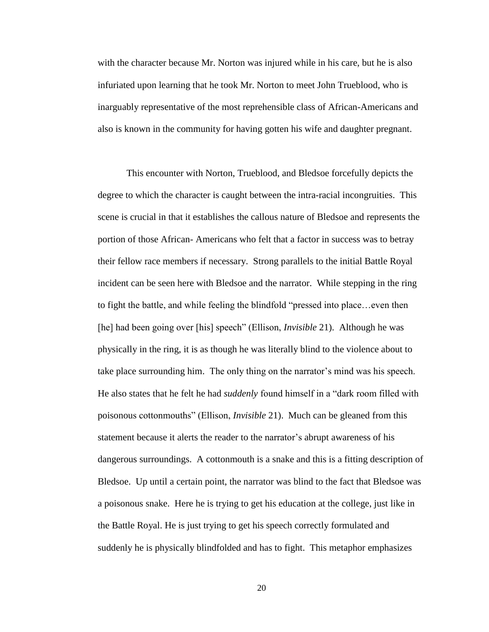with the character because Mr. Norton was injured while in his care, but he is also infuriated upon learning that he took Mr. Norton to meet John Trueblood, who is inarguably representative of the most reprehensible class of African-Americans and also is known in the community for having gotten his wife and daughter pregnant.

This encounter with Norton, Trueblood, and Bledsoe forcefully depicts the degree to which the character is caught between the intra-racial incongruities. This scene is crucial in that it establishes the callous nature of Bledsoe and represents the portion of those African- Americans who felt that a factor in success was to betray their fellow race members if necessary. Strong parallels to the initial Battle Royal incident can be seen here with Bledsoe and the narrator. While stepping in the ring to fight the battle, and while feeling the blindfold "pressed into place…even then [he] had been going over [his] speech" (Ellison, *Invisible* 21). Although he was physically in the ring, it is as though he was literally blind to the violence about to take place surrounding him. The only thing on the narrator's mind was his speech. He also states that he felt he had *suddenly* found himself in a "dark room filled with poisonous cottonmouths" (Ellison, *Invisible* 21). Much can be gleaned from this statement because it alerts the reader to the narrator's abrupt awareness of his dangerous surroundings. A cottonmouth is a snake and this is a fitting description of Bledsoe. Up until a certain point, the narrator was blind to the fact that Bledsoe was a poisonous snake. Here he is trying to get his education at the college, just like in the Battle Royal. He is just trying to get his speech correctly formulated and suddenly he is physically blindfolded and has to fight. This metaphor emphasizes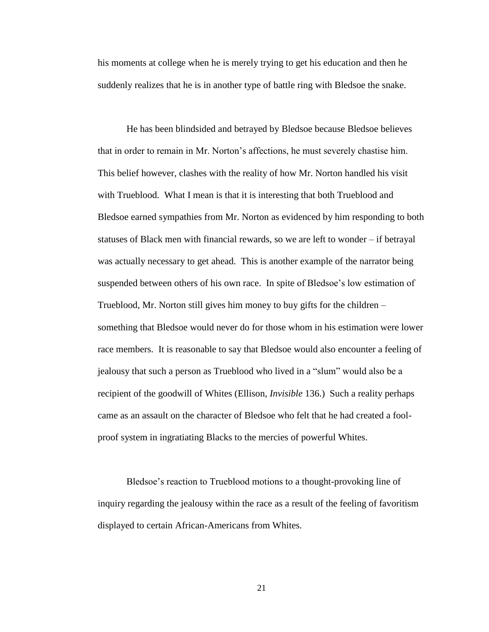his moments at college when he is merely trying to get his education and then he suddenly realizes that he is in another type of battle ring with Bledsoe the snake.

He has been blindsided and betrayed by Bledsoe because Bledsoe believes that in order to remain in Mr. Norton's affections, he must severely chastise him. This belief however, clashes with the reality of how Mr. Norton handled his visit with Trueblood. What I mean is that it is interesting that both Trueblood and Bledsoe earned sympathies from Mr. Norton as evidenced by him responding to both statuses of Black men with financial rewards, so we are left to wonder – if betrayal was actually necessary to get ahead. This is another example of the narrator being suspended between others of his own race. In spite of Bledsoe's low estimation of Trueblood, Mr. Norton still gives him money to buy gifts for the children – something that Bledsoe would never do for those whom in his estimation were lower race members. It is reasonable to say that Bledsoe would also encounter a feeling of jealousy that such a person as Trueblood who lived in a "slum" would also be a recipient of the goodwill of Whites (Ellison, *Invisible* 136.) Such a reality perhaps came as an assault on the character of Bledsoe who felt that he had created a foolproof system in ingratiating Blacks to the mercies of powerful Whites.

Bledsoe's reaction to Trueblood motions to a thought-provoking line of inquiry regarding the jealousy within the race as a result of the feeling of favoritism displayed to certain African-Americans from Whites.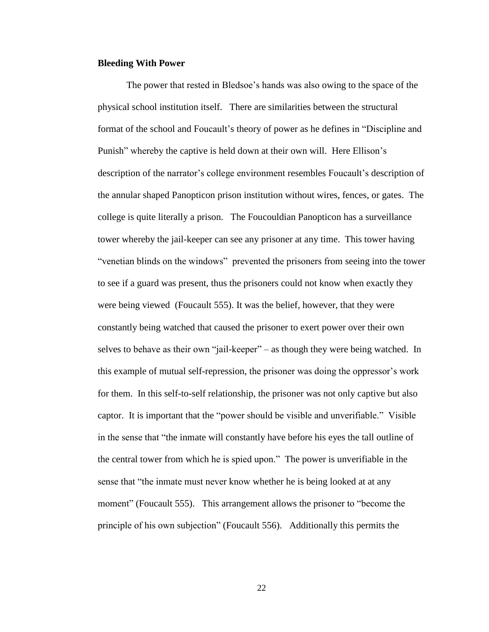#### **Bleeding With Power**

The power that rested in Bledsoe's hands was also owing to the space of the physical school institution itself. There are similarities between the structural format of the school and Foucault's theory of power as he defines in "Discipline and Punish" whereby the captive is held down at their own will. Here Ellison's description of the narrator's college environment resembles Foucault's description of the annular shaped Panopticon prison institution without wires, fences, or gates. The college is quite literally a prison. The Foucouldian Panopticon has a surveillance tower whereby the jail-keeper can see any prisoner at any time. This tower having "venetian blinds on the windows" prevented the prisoners from seeing into the tower to see if a guard was present, thus the prisoners could not know when exactly they were being viewed (Foucault 555). It was the belief, however, that they were constantly being watched that caused the prisoner to exert power over their own selves to behave as their own "jail-keeper" – as though they were being watched. In this example of mutual self-repression, the prisoner was doing the oppressor's work for them. In this self-to-self relationship, the prisoner was not only captive but also captor. It is important that the "power should be visible and unverifiable." Visible in the sense that "the inmate will constantly have before his eyes the tall outline of the central tower from which he is spied upon." The power is unverifiable in the sense that "the inmate must never know whether he is being looked at at any moment" (Foucault 555). This arrangement allows the prisoner to "become the principle of his own subjection" (Foucault 556). Additionally this permits the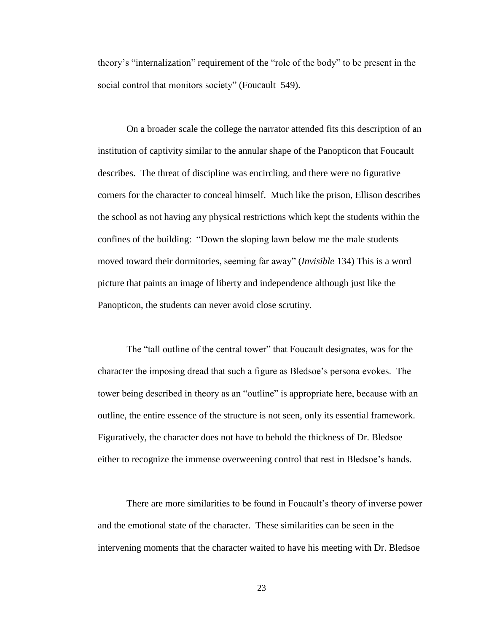theory's "internalization" requirement of the "role of the body" to be present in the social control that monitors society" (Foucault 549).

On a broader scale the college the narrator attended fits this description of an institution of captivity similar to the annular shape of the Panopticon that Foucault describes. The threat of discipline was encircling, and there were no figurative corners for the character to conceal himself. Much like the prison, Ellison describes the school as not having any physical restrictions which kept the students within the confines of the building: "Down the sloping lawn below me the male students moved toward their dormitories, seeming far away" (*Invisible* 134) This is a word picture that paints an image of liberty and independence although just like the Panopticon, the students can never avoid close scrutiny.

The "tall outline of the central tower" that Foucault designates, was for the character the imposing dread that such a figure as Bledsoe's persona evokes. The tower being described in theory as an "outline" is appropriate here, because with an outline, the entire essence of the structure is not seen, only its essential framework. Figuratively, the character does not have to behold the thickness of Dr. Bledsoe either to recognize the immense overweening control that rest in Bledsoe's hands.

There are more similarities to be found in Foucault's theory of inverse power and the emotional state of the character. These similarities can be seen in the intervening moments that the character waited to have his meeting with Dr. Bledsoe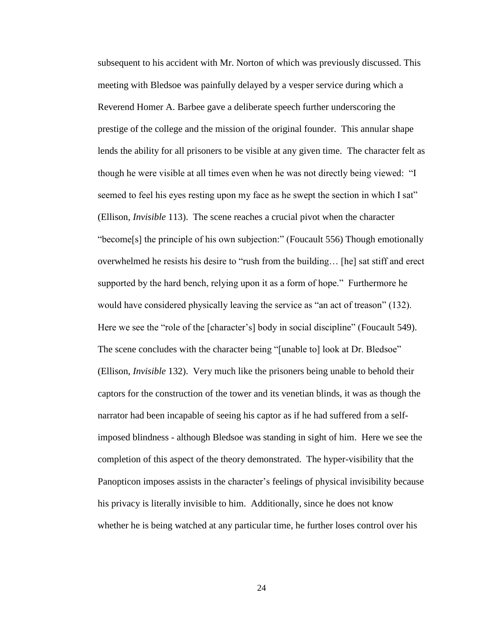subsequent to his accident with Mr. Norton of which was previously discussed. This meeting with Bledsoe was painfully delayed by a vesper service during which a Reverend Homer A. Barbee gave a deliberate speech further underscoring the prestige of the college and the mission of the original founder. This annular shape lends the ability for all prisoners to be visible at any given time. The character felt as though he were visible at all times even when he was not directly being viewed: "I seemed to feel his eyes resting upon my face as he swept the section in which I sat" (Ellison, *Invisible* 113). The scene reaches a crucial pivot when the character "become[s] the principle of his own subjection:" (Foucault 556) Though emotionally overwhelmed he resists his desire to "rush from the building… [he] sat stiff and erect supported by the hard bench, relying upon it as a form of hope." Furthermore he would have considered physically leaving the service as "an act of treason" (132). Here we see the "role of the [character's] body in social discipline" (Foucault 549). The scene concludes with the character being "[unable to] look at Dr. Bledsoe" (Ellison, *Invisible* 132). Very much like the prisoners being unable to behold their captors for the construction of the tower and its venetian blinds, it was as though the narrator had been incapable of seeing his captor as if he had suffered from a selfimposed blindness - although Bledsoe was standing in sight of him. Here we see the completion of this aspect of the theory demonstrated. The hyper-visibility that the Panopticon imposes assists in the character's feelings of physical invisibility because his privacy is literally invisible to him. Additionally, since he does not know whether he is being watched at any particular time, he further loses control over his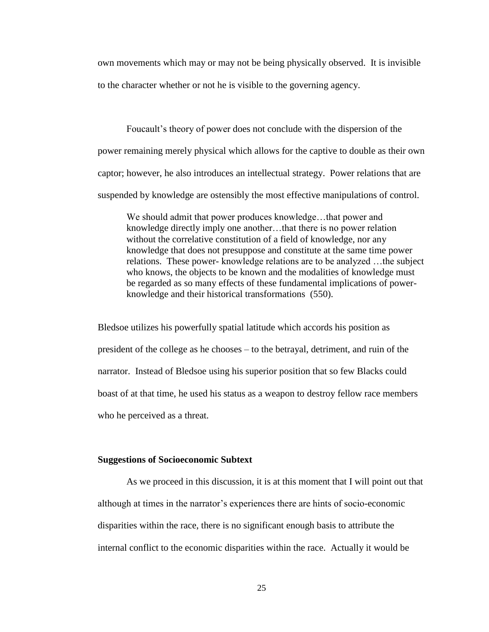own movements which may or may not be being physically observed. It is invisible to the character whether or not he is visible to the governing agency.

Foucault's theory of power does not conclude with the dispersion of the power remaining merely physical which allows for the captive to double as their own captor; however, he also introduces an intellectual strategy. Power relations that are suspended by knowledge are ostensibly the most effective manipulations of control.

We should admit that power produces knowledge...that power and knowledge directly imply one another…that there is no power relation without the correlative constitution of a field of knowledge, nor any knowledge that does not presuppose and constitute at the same time power relations. These power- knowledge relations are to be analyzed …the subject who knows, the objects to be known and the modalities of knowledge must be regarded as so many effects of these fundamental implications of powerknowledge and their historical transformations (550).

Bledsoe utilizes his powerfully spatial latitude which accords his position as president of the college as he chooses – to the betrayal, detriment, and ruin of the narrator. Instead of Bledsoe using his superior position that so few Blacks could boast of at that time, he used his status as a weapon to destroy fellow race members who he perceived as a threat.

## **Suggestions of Socioeconomic Subtext**

As we proceed in this discussion, it is at this moment that I will point out that although at times in the narrator's experiences there are hints of socio-economic disparities within the race, there is no significant enough basis to attribute the internal conflict to the economic disparities within the race. Actually it would be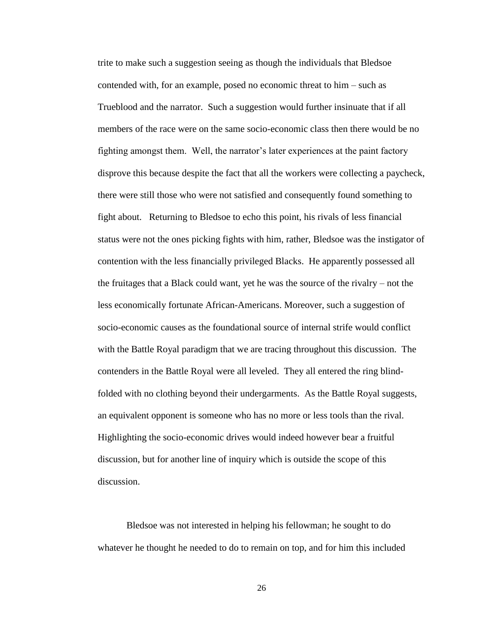trite to make such a suggestion seeing as though the individuals that Bledsoe contended with, for an example, posed no economic threat to him – such as Trueblood and the narrator. Such a suggestion would further insinuate that if all members of the race were on the same socio-economic class then there would be no fighting amongst them. Well, the narrator's later experiences at the paint factory disprove this because despite the fact that all the workers were collecting a paycheck, there were still those who were not satisfied and consequently found something to fight about. Returning to Bledsoe to echo this point, his rivals of less financial status were not the ones picking fights with him, rather, Bledsoe was the instigator of contention with the less financially privileged Blacks. He apparently possessed all the fruitages that a Black could want, yet he was the source of the rivalry – not the less economically fortunate African-Americans. Moreover, such a suggestion of socio-economic causes as the foundational source of internal strife would conflict with the Battle Royal paradigm that we are tracing throughout this discussion. The contenders in the Battle Royal were all leveled. They all entered the ring blindfolded with no clothing beyond their undergarments. As the Battle Royal suggests, an equivalent opponent is someone who has no more or less tools than the rival. Highlighting the socio-economic drives would indeed however bear a fruitful discussion, but for another line of inquiry which is outside the scope of this discussion.

Bledsoe was not interested in helping his fellowman; he sought to do whatever he thought he needed to do to remain on top, and for him this included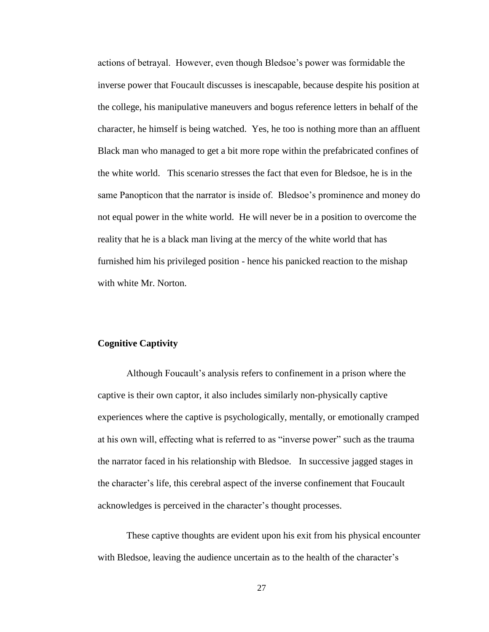actions of betrayal. However, even though Bledsoe's power was formidable the inverse power that Foucault discusses is inescapable, because despite his position at the college, his manipulative maneuvers and bogus reference letters in behalf of the character, he himself is being watched. Yes, he too is nothing more than an affluent Black man who managed to get a bit more rope within the prefabricated confines of the white world. This scenario stresses the fact that even for Bledsoe, he is in the same Panopticon that the narrator is inside of. Bledsoe's prominence and money do not equal power in the white world. He will never be in a position to overcome the reality that he is a black man living at the mercy of the white world that has furnished him his privileged position - hence his panicked reaction to the mishap with white Mr. Norton.

#### **Cognitive Captivity**

Although Foucault's analysis refers to confinement in a prison where the captive is their own captor, it also includes similarly non-physically captive experiences where the captive is psychologically, mentally, or emotionally cramped at his own will, effecting what is referred to as "inverse power" such as the trauma the narrator faced in his relationship with Bledsoe. In successive jagged stages in the character's life, this cerebral aspect of the inverse confinement that Foucault acknowledges is perceived in the character's thought processes.

These captive thoughts are evident upon his exit from his physical encounter with Bledsoe, leaving the audience uncertain as to the health of the character's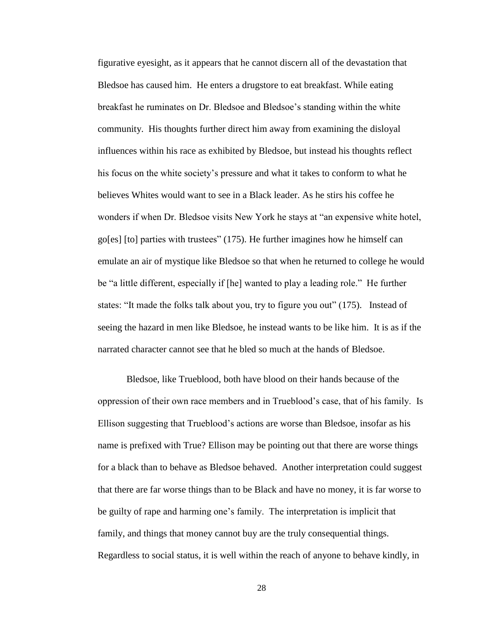figurative eyesight, as it appears that he cannot discern all of the devastation that Bledsoe has caused him. He enters a drugstore to eat breakfast. While eating breakfast he ruminates on Dr. Bledsoe and Bledsoe's standing within the white community. His thoughts further direct him away from examining the disloyal influences within his race as exhibited by Bledsoe, but instead his thoughts reflect his focus on the white society's pressure and what it takes to conform to what he believes Whites would want to see in a Black leader. As he stirs his coffee he wonders if when Dr. Bledsoe visits New York he stays at "an expensive white hotel, go[es] [to] parties with trustees" (175). He further imagines how he himself can emulate an air of mystique like Bledsoe so that when he returned to college he would be "a little different, especially if [he] wanted to play a leading role." He further states: "It made the folks talk about you, try to figure you out" (175). Instead of seeing the hazard in men like Bledsoe, he instead wants to be like him. It is as if the narrated character cannot see that he bled so much at the hands of Bledsoe.

Bledsoe, like Trueblood, both have blood on their hands because of the oppression of their own race members and in Trueblood's case, that of his family. Is Ellison suggesting that Trueblood's actions are worse than Bledsoe, insofar as his name is prefixed with True? Ellison may be pointing out that there are worse things for a black than to behave as Bledsoe behaved. Another interpretation could suggest that there are far worse things than to be Black and have no money, it is far worse to be guilty of rape and harming one's family. The interpretation is implicit that family, and things that money cannot buy are the truly consequential things. Regardless to social status, it is well within the reach of anyone to behave kindly, in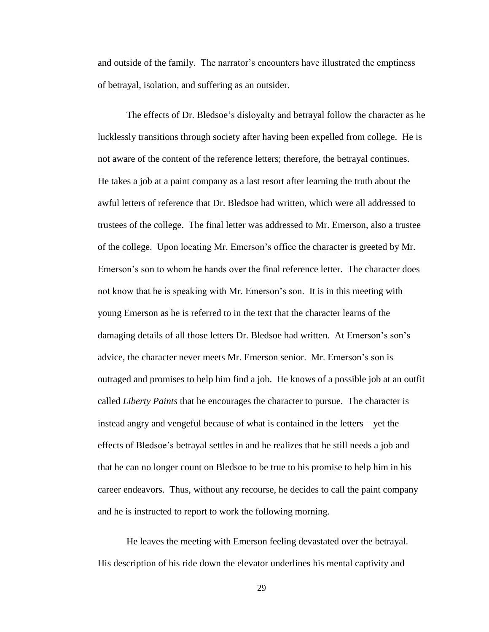and outside of the family. The narrator's encounters have illustrated the emptiness of betrayal, isolation, and suffering as an outsider.

The effects of Dr. Bledsoe's disloyalty and betrayal follow the character as he lucklessly transitions through society after having been expelled from college. He is not aware of the content of the reference letters; therefore, the betrayal continues. He takes a job at a paint company as a last resort after learning the truth about the awful letters of reference that Dr. Bledsoe had written, which were all addressed to trustees of the college. The final letter was addressed to Mr. Emerson, also a trustee of the college. Upon locating Mr. Emerson's office the character is greeted by Mr. Emerson's son to whom he hands over the final reference letter. The character does not know that he is speaking with Mr. Emerson's son. It is in this meeting with young Emerson as he is referred to in the text that the character learns of the damaging details of all those letters Dr. Bledsoe had written. At Emerson's son's advice, the character never meets Mr. Emerson senior. Mr. Emerson's son is outraged and promises to help him find a job. He knows of a possible job at an outfit called *Liberty Paints* that he encourages the character to pursue. The character is instead angry and vengeful because of what is contained in the letters – yet the effects of Bledsoe's betrayal settles in and he realizes that he still needs a job and that he can no longer count on Bledsoe to be true to his promise to help him in his career endeavors. Thus, without any recourse, he decides to call the paint company and he is instructed to report to work the following morning.

He leaves the meeting with Emerson feeling devastated over the betrayal. His description of his ride down the elevator underlines his mental captivity and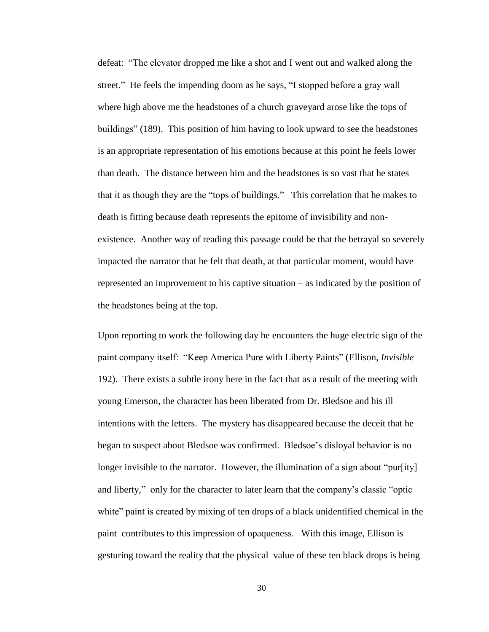defeat: "The elevator dropped me like a shot and I went out and walked along the street." He feels the impending doom as he says, "I stopped before a gray wall where high above me the headstones of a church graveyard arose like the tops of buildings" (189). This position of him having to look upward to see the headstones is an appropriate representation of his emotions because at this point he feels lower than death. The distance between him and the headstones is so vast that he states that it as though they are the "tops of buildings." This correlation that he makes to death is fitting because death represents the epitome of invisibility and nonexistence. Another way of reading this passage could be that the betrayal so severely impacted the narrator that he felt that death, at that particular moment, would have represented an improvement to his captive situation – as indicated by the position of the headstones being at the top.

Upon reporting to work the following day he encounters the huge electric sign of the paint company itself: "Keep America Pure with Liberty Paints" (Ellison, *Invisible* 192). There exists a subtle irony here in the fact that as a result of the meeting with young Emerson, the character has been liberated from Dr. Bledsoe and his ill intentions with the letters. The mystery has disappeared because the deceit that he began to suspect about Bledsoe was confirmed. Bledsoe's disloyal behavior is no longer invisible to the narrator. However, the illumination of a sign about "pur[ity] and liberty," only for the character to later learn that the company's classic "optic white" paint is created by mixing of ten drops of a black unidentified chemical in the paint contributes to this impression of opaqueness. With this image, Ellison is gesturing toward the reality that the physical value of these ten black drops is being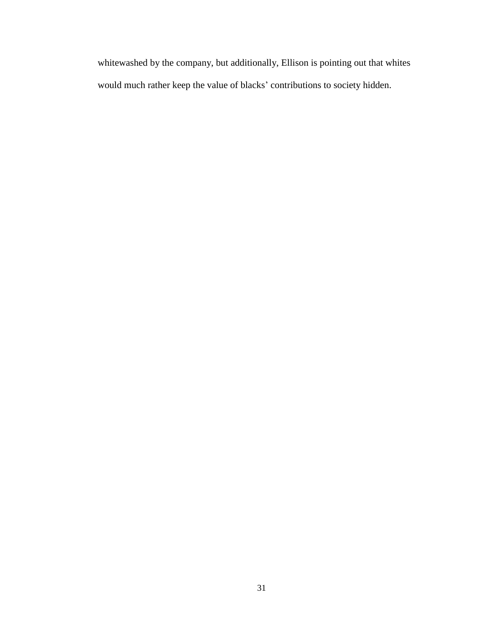whitewashed by the company, but additionally, Ellison is pointing out that whites would much rather keep the value of blacks' contributions to society hidden.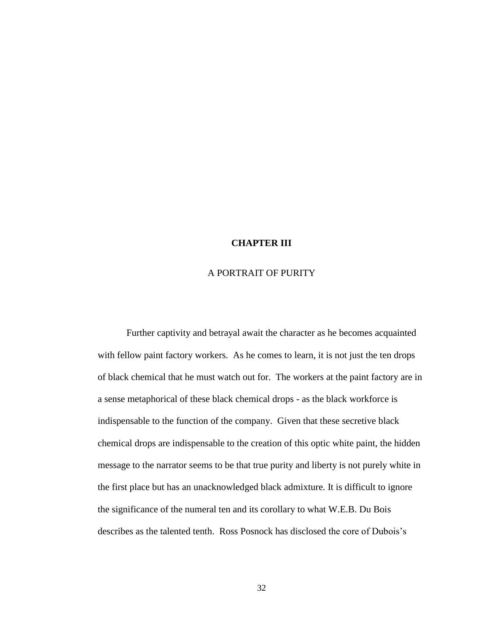## **CHAPTER III**

## A PORTRAIT OF PURITY

Further captivity and betrayal await the character as he becomes acquainted with fellow paint factory workers. As he comes to learn, it is not just the ten drops of black chemical that he must watch out for. The workers at the paint factory are in a sense metaphorical of these black chemical drops - as the black workforce is indispensable to the function of the company. Given that these secretive black chemical drops are indispensable to the creation of this optic white paint, the hidden message to the narrator seems to be that true purity and liberty is not purely white in the first place but has an unacknowledged black admixture. It is difficult to ignore the significance of the numeral ten and its corollary to what W.E.B. Du Bois describes as the talented tenth. Ross Posnock has disclosed the core of Dubois's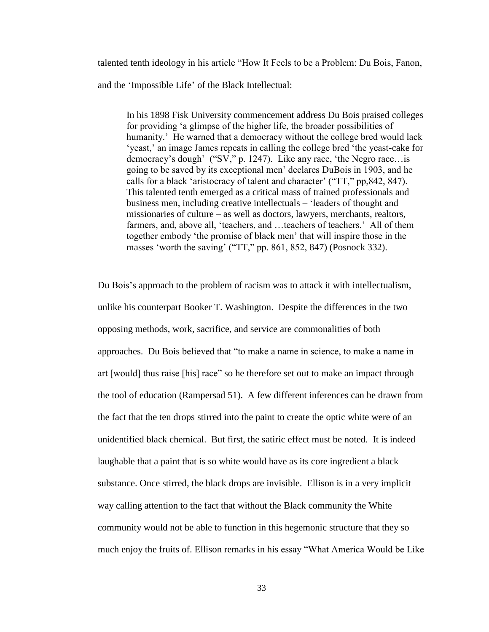talented tenth ideology in his article "How It Feels to be a Problem: Du Bois, Fanon, and the 'Impossible Life' of the Black Intellectual:

In his 1898 Fisk University commencement address Du Bois praised colleges for providing 'a glimpse of the higher life, the broader possibilities of humanity.' He warned that a democracy without the college bred would lack 'yeast,' an image James repeats in calling the college bred 'the yeast-cake for democracy's dough' ("SV," p. 1247). Like any race, 'the Negro race…is going to be saved by its exceptional men' declares DuBois in 1903, and he calls for a black 'aristocracy of talent and character' ("TT," pp,842, 847). This talented tenth emerged as a critical mass of trained professionals and business men, including creative intellectuals – 'leaders of thought and missionaries of culture – as well as doctors, lawyers, merchants, realtors, farmers, and, above all, 'teachers, and …teachers of teachers.' All of them together embody 'the promise of black men' that will inspire those in the masses 'worth the saving' ("TT," pp. 861, 852, 847) (Posnock 332).

Du Bois's approach to the problem of racism was to attack it with intellectualism, unlike his counterpart Booker T. Washington. Despite the differences in the two opposing methods, work, sacrifice, and service are commonalities of both approaches. Du Bois believed that "to make a name in science, to make a name in art [would] thus raise [his] race" so he therefore set out to make an impact through the tool of education (Rampersad 51). A few different inferences can be drawn from the fact that the ten drops stirred into the paint to create the optic white were of an unidentified black chemical. But first, the satiric effect must be noted. It is indeed laughable that a paint that is so white would have as its core ingredient a black substance. Once stirred, the black drops are invisible. Ellison is in a very implicit way calling attention to the fact that without the Black community the White community would not be able to function in this hegemonic structure that they so much enjoy the fruits of. Ellison remarks in his essay "What America Would be Like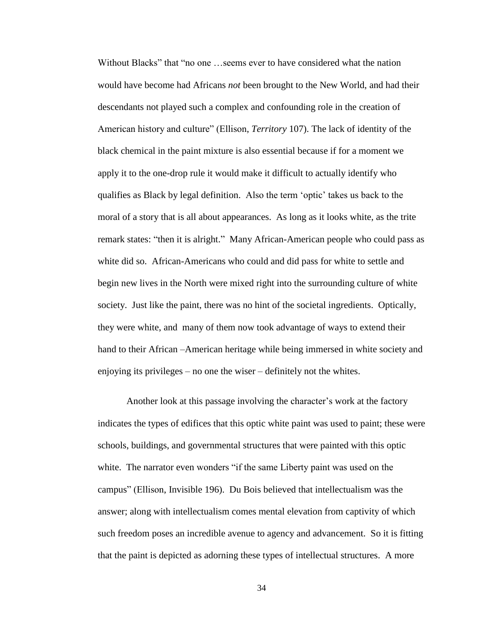Without Blacks" that "no one …seems ever to have considered what the nation would have become had Africans *not* been brought to the New World, and had their descendants not played such a complex and confounding role in the creation of American history and culture" (Ellison, *Territory* 107). The lack of identity of the black chemical in the paint mixture is also essential because if for a moment we apply it to the one-drop rule it would make it difficult to actually identify who qualifies as Black by legal definition. Also the term 'optic' takes us back to the moral of a story that is all about appearances. As long as it looks white, as the trite remark states: "then it is alright." Many African-American people who could pass as white did so. African-Americans who could and did pass for white to settle and begin new lives in the North were mixed right into the surrounding culture of white society. Just like the paint, there was no hint of the societal ingredients. Optically, they were white, and many of them now took advantage of ways to extend their hand to their African –American heritage while being immersed in white society and enjoying its privileges – no one the wiser – definitely not the whites.

Another look at this passage involving the character's work at the factory indicates the types of edifices that this optic white paint was used to paint; these were schools, buildings, and governmental structures that were painted with this optic white. The narrator even wonders "if the same Liberty paint was used on the campus" (Ellison, Invisible 196). Du Bois believed that intellectualism was the answer; along with intellectualism comes mental elevation from captivity of which such freedom poses an incredible avenue to agency and advancement. So it is fitting that the paint is depicted as adorning these types of intellectual structures. A more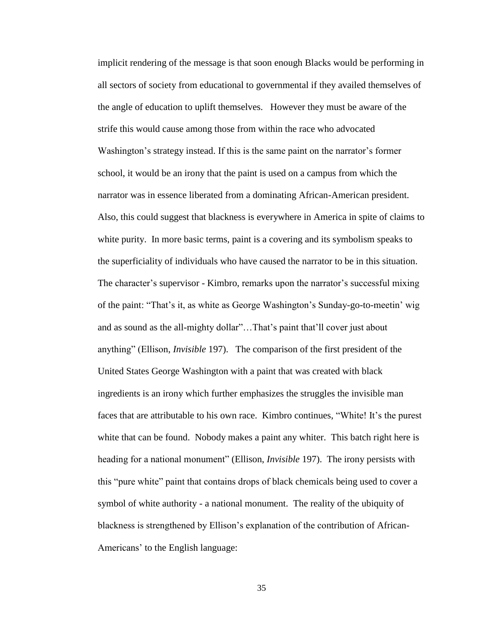implicit rendering of the message is that soon enough Blacks would be performing in all sectors of society from educational to governmental if they availed themselves of the angle of education to uplift themselves. However they must be aware of the strife this would cause among those from within the race who advocated Washington's strategy instead. If this is the same paint on the narrator's former school, it would be an irony that the paint is used on a campus from which the narrator was in essence liberated from a dominating African-American president. Also, this could suggest that blackness is everywhere in America in spite of claims to white purity. In more basic terms, paint is a covering and its symbolism speaks to the superficiality of individuals who have caused the narrator to be in this situation. The character's supervisor - Kimbro, remarks upon the narrator's successful mixing of the paint: "That's it, as white as George Washington's Sunday-go-to-meetin' wig and as sound as the all-mighty dollar"…That's paint that'll cover just about anything" (Ellison, *Invisible* 197). The comparison of the first president of the United States George Washington with a paint that was created with black ingredients is an irony which further emphasizes the struggles the invisible man faces that are attributable to his own race. Kimbro continues, "White! It's the purest white that can be found. Nobody makes a paint any whiter. This batch right here is heading for a national monument" (Ellison, *Invisible* 197). The irony persists with this "pure white" paint that contains drops of black chemicals being used to cover a symbol of white authority - a national monument. The reality of the ubiquity of blackness is strengthened by Ellison's explanation of the contribution of African-Americans' to the English language: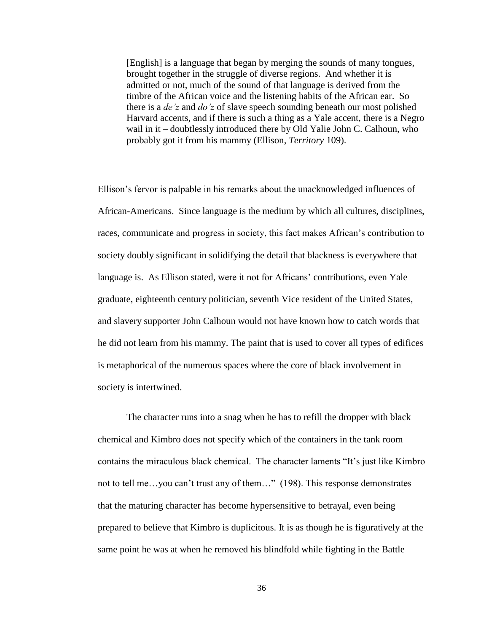[English] is a language that began by merging the sounds of many tongues, brought together in the struggle of diverse regions. And whether it is admitted or not, much of the sound of that language is derived from the timbre of the African voice and the listening habits of the African ear. So there is a *de'z* and *do'z* of slave speech sounding beneath our most polished Harvard accents, and if there is such a thing as a Yale accent, there is a Negro wail in it – doubtlessly introduced there by Old Yalie John C. Calhoun, who probably got it from his mammy (Ellison, *Territory* 109).

Ellison's fervor is palpable in his remarks about the unacknowledged influences of African-Americans. Since language is the medium by which all cultures, disciplines, races, communicate and progress in society, this fact makes African's contribution to society doubly significant in solidifying the detail that blackness is everywhere that language is. As Ellison stated, were it not for Africans' contributions, even Yale graduate, eighteenth century politician, seventh Vice resident of the United States, and slavery supporter John Calhoun would not have known how to catch words that he did not learn from his mammy. The paint that is used to cover all types of edifices is metaphorical of the numerous spaces where the core of black involvement in society is intertwined.

The character runs into a snag when he has to refill the dropper with black chemical and Kimbro does not specify which of the containers in the tank room contains the miraculous black chemical. The character laments "It's just like Kimbro not to tell me…you can't trust any of them…" (198). This response demonstrates that the maturing character has become hypersensitive to betrayal, even being prepared to believe that Kimbro is duplicitous. It is as though he is figuratively at the same point he was at when he removed his blindfold while fighting in the Battle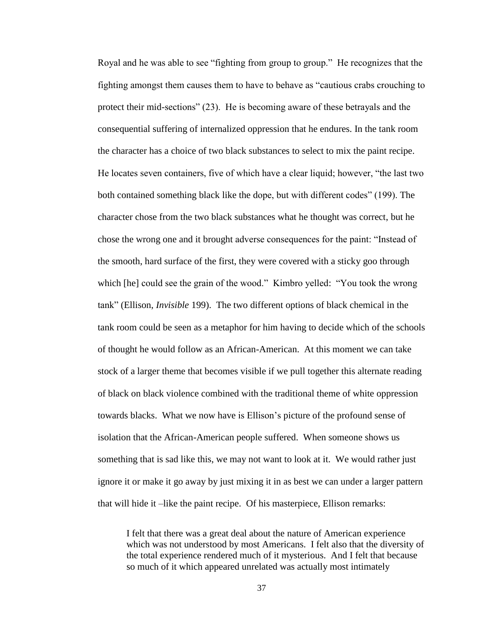Royal and he was able to see "fighting from group to group." He recognizes that the fighting amongst them causes them to have to behave as "cautious crabs crouching to protect their mid-sections" (23). He is becoming aware of these betrayals and the consequential suffering of internalized oppression that he endures. In the tank room the character has a choice of two black substances to select to mix the paint recipe. He locates seven containers, five of which have a clear liquid; however, "the last two both contained something black like the dope, but with different codes" (199). The character chose from the two black substances what he thought was correct, but he chose the wrong one and it brought adverse consequences for the paint: "Instead of the smooth, hard surface of the first, they were covered with a sticky goo through which [he] could see the grain of the wood." Kimbro yelled: "You took the wrong tank" (Ellison, *Invisible* 199). The two different options of black chemical in the tank room could be seen as a metaphor for him having to decide which of the schools of thought he would follow as an African-American. At this moment we can take stock of a larger theme that becomes visible if we pull together this alternate reading of black on black violence combined with the traditional theme of white oppression towards blacks. What we now have is Ellison's picture of the profound sense of isolation that the African-American people suffered. When someone shows us something that is sad like this, we may not want to look at it. We would rather just ignore it or make it go away by just mixing it in as best we can under a larger pattern that will hide it –like the paint recipe. Of his masterpiece, Ellison remarks:

I felt that there was a great deal about the nature of American experience which was not understood by most Americans. I felt also that the diversity of the total experience rendered much of it mysterious. And I felt that because so much of it which appeared unrelated was actually most intimately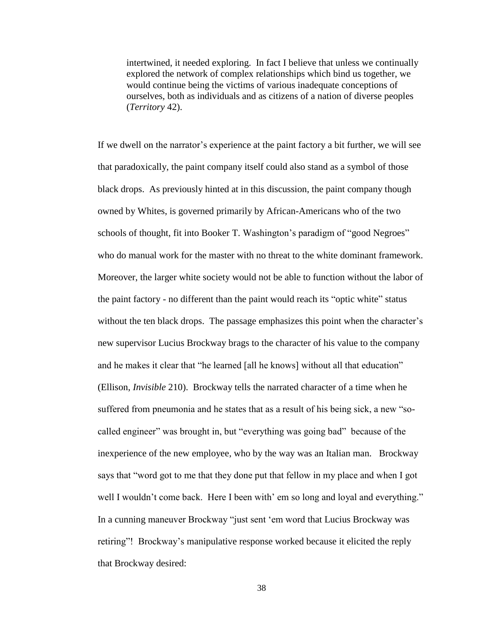intertwined, it needed exploring. In fact I believe that unless we continually explored the network of complex relationships which bind us together, we would continue being the victims of various inadequate conceptions of ourselves, both as individuals and as citizens of a nation of diverse peoples (*Territory* 42).

If we dwell on the narrator's experience at the paint factory a bit further, we will see that paradoxically, the paint company itself could also stand as a symbol of those black drops. As previously hinted at in this discussion, the paint company though owned by Whites, is governed primarily by African-Americans who of the two schools of thought, fit into Booker T. Washington's paradigm of "good Negroes" who do manual work for the master with no threat to the white dominant framework. Moreover, the larger white society would not be able to function without the labor of the paint factory - no different than the paint would reach its "optic white" status without the ten black drops. The passage emphasizes this point when the character's new supervisor Lucius Brockway brags to the character of his value to the company and he makes it clear that "he learned [all he knows] without all that education" (Ellison, *Invisible* 210). Brockway tells the narrated character of a time when he suffered from pneumonia and he states that as a result of his being sick, a new "socalled engineer" was brought in, but "everything was going bad" because of the inexperience of the new employee, who by the way was an Italian man. Brockway says that "word got to me that they done put that fellow in my place and when I got well I wouldn't come back. Here I been with' em so long and loyal and everything." In a cunning maneuver Brockway "just sent 'em word that Lucius Brockway was retiring"! Brockway's manipulative response worked because it elicited the reply that Brockway desired: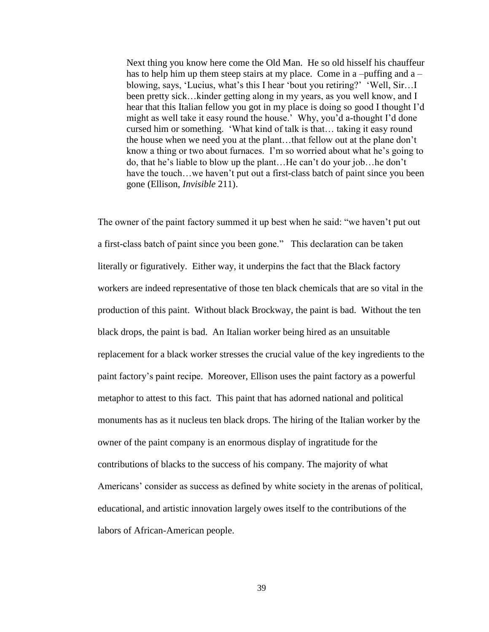Next thing you know here come the Old Man. He so old hisself his chauffeur has to help him up them steep stairs at my place. Come in a –puffing and a – blowing, says, 'Lucius, what's this I hear 'bout you retiring?' 'Well, Sir…I been pretty sick…kinder getting along in my years, as you well know, and I hear that this Italian fellow you got in my place is doing so good I thought I'd might as well take it easy round the house.' Why, you'd a-thought I'd done cursed him or something. 'What kind of talk is that… taking it easy round the house when we need you at the plant…that fellow out at the plane don't know a thing or two about furnaces. I'm so worried about what he's going to do, that he's liable to blow up the plant…He can't do your job…he don't have the touch...we haven't put out a first-class batch of paint since you been gone (Ellison, *Invisible* 211).

The owner of the paint factory summed it up best when he said: "we haven't put out a first-class batch of paint since you been gone." This declaration can be taken literally or figuratively. Either way, it underpins the fact that the Black factory workers are indeed representative of those ten black chemicals that are so vital in the production of this paint. Without black Brockway, the paint is bad. Without the ten black drops, the paint is bad. An Italian worker being hired as an unsuitable replacement for a black worker stresses the crucial value of the key ingredients to the paint factory's paint recipe. Moreover, Ellison uses the paint factory as a powerful metaphor to attest to this fact. This paint that has adorned national and political monuments has as it nucleus ten black drops. The hiring of the Italian worker by the owner of the paint company is an enormous display of ingratitude for the contributions of blacks to the success of his company. The majority of what Americans' consider as success as defined by white society in the arenas of political, educational, and artistic innovation largely owes itself to the contributions of the labors of African-American people.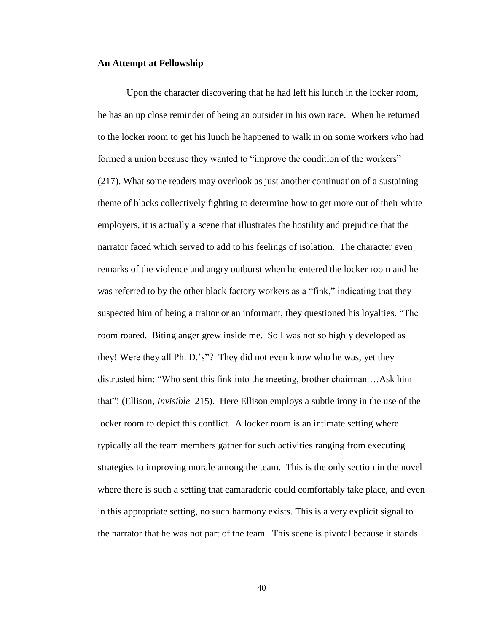#### **An Attempt at Fellowship**

Upon the character discovering that he had left his lunch in the locker room, he has an up close reminder of being an outsider in his own race. When he returned to the locker room to get his lunch he happened to walk in on some workers who had formed a union because they wanted to "improve the condition of the workers" (217). What some readers may overlook as just another continuation of a sustaining theme of blacks collectively fighting to determine how to get more out of their white employers, it is actually a scene that illustrates the hostility and prejudice that the narrator faced which served to add to his feelings of isolation. The character even remarks of the violence and angry outburst when he entered the locker room and he was referred to by the other black factory workers as a "fink," indicating that they suspected him of being a traitor or an informant, they questioned his loyalties. "The room roared. Biting anger grew inside me. So I was not so highly developed as they! Were they all Ph. D.'s"? They did not even know who he was, yet they distrusted him: "Who sent this fink into the meeting, brother chairman …Ask him that"! (Ellison, *Invisible* 215). Here Ellison employs a subtle irony in the use of the locker room to depict this conflict. A locker room is an intimate setting where typically all the team members gather for such activities ranging from executing strategies to improving morale among the team. This is the only section in the novel where there is such a setting that camaraderie could comfortably take place, and even in this appropriate setting, no such harmony exists. This is a very explicit signal to the narrator that he was not part of the team. This scene is pivotal because it stands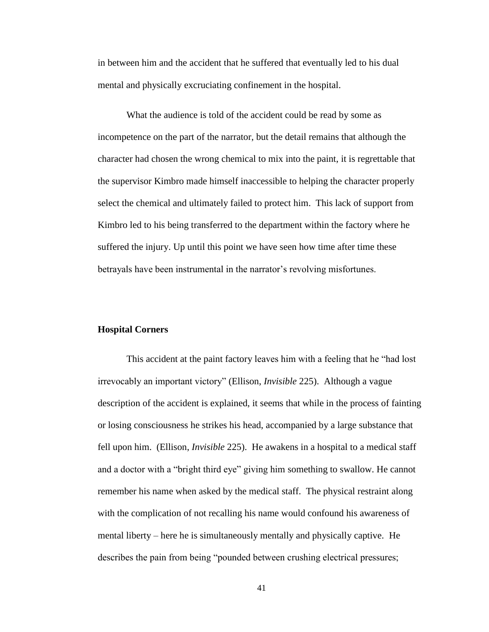in between him and the accident that he suffered that eventually led to his dual mental and physically excruciating confinement in the hospital.

What the audience is told of the accident could be read by some as incompetence on the part of the narrator, but the detail remains that although the character had chosen the wrong chemical to mix into the paint, it is regrettable that the supervisor Kimbro made himself inaccessible to helping the character properly select the chemical and ultimately failed to protect him. This lack of support from Kimbro led to his being transferred to the department within the factory where he suffered the injury. Up until this point we have seen how time after time these betrayals have been instrumental in the narrator's revolving misfortunes.

#### **Hospital Corners**

This accident at the paint factory leaves him with a feeling that he "had lost irrevocably an important victory" (Ellison, *Invisible* 225). Although a vague description of the accident is explained, it seems that while in the process of fainting or losing consciousness he strikes his head, accompanied by a large substance that fell upon him. (Ellison, *Invisible* 225). He awakens in a hospital to a medical staff and a doctor with a "bright third eye" giving him something to swallow. He cannot remember his name when asked by the medical staff. The physical restraint along with the complication of not recalling his name would confound his awareness of mental liberty – here he is simultaneously mentally and physically captive. He describes the pain from being "pounded between crushing electrical pressures;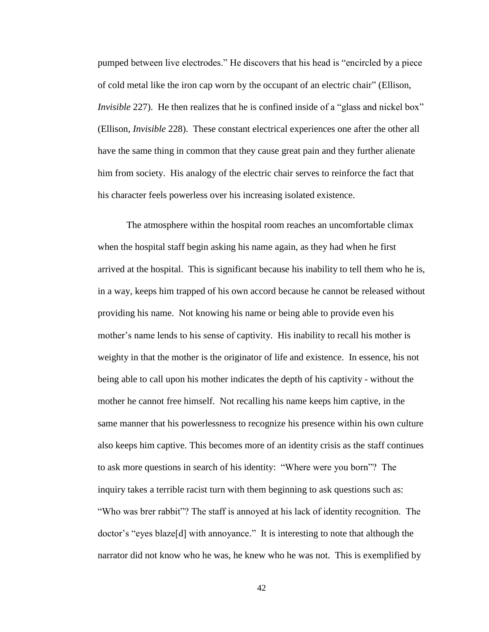pumped between live electrodes." He discovers that his head is "encircled by a piece of cold metal like the iron cap worn by the occupant of an electric chair" (Ellison, *Invisible* 227). He then realizes that he is confined inside of a "glass and nickel box" (Ellison, *Invisible* 228). These constant electrical experiences one after the other all have the same thing in common that they cause great pain and they further alienate him from society. His analogy of the electric chair serves to reinforce the fact that his character feels powerless over his increasing isolated existence.

The atmosphere within the hospital room reaches an uncomfortable climax when the hospital staff begin asking his name again, as they had when he first arrived at the hospital. This is significant because his inability to tell them who he is, in a way, keeps him trapped of his own accord because he cannot be released without providing his name. Not knowing his name or being able to provide even his mother's name lends to his sense of captivity. His inability to recall his mother is weighty in that the mother is the originator of life and existence. In essence, his not being able to call upon his mother indicates the depth of his captivity - without the mother he cannot free himself. Not recalling his name keeps him captive, in the same manner that his powerlessness to recognize his presence within his own culture also keeps him captive. This becomes more of an identity crisis as the staff continues to ask more questions in search of his identity: "Where were you born"? The inquiry takes a terrible racist turn with them beginning to ask questions such as: "Who was brer rabbit"? The staff is annoyed at his lack of identity recognition. The doctor's "eyes blaze[d] with annoyance." It is interesting to note that although the narrator did not know who he was, he knew who he was not. This is exemplified by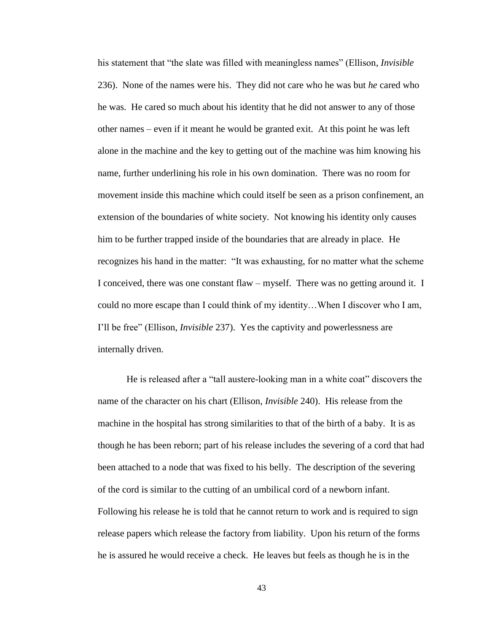his statement that "the slate was filled with meaningless names" (Ellison, *Invisible* 236). None of the names were his. They did not care who he was but *he* cared who he was. He cared so much about his identity that he did not answer to any of those other names – even if it meant he would be granted exit. At this point he was left alone in the machine and the key to getting out of the machine was him knowing his name, further underlining his role in his own domination. There was no room for movement inside this machine which could itself be seen as a prison confinement, an extension of the boundaries of white society. Not knowing his identity only causes him to be further trapped inside of the boundaries that are already in place. He recognizes his hand in the matter: "It was exhausting, for no matter what the scheme I conceived, there was one constant flaw – myself. There was no getting around it. I could no more escape than I could think of my identity…When I discover who I am, I'll be free" (Ellison, *Invisible* 237). Yes the captivity and powerlessness are internally driven.

He is released after a "tall austere-looking man in a white coat" discovers the name of the character on his chart (Ellison, *Invisible* 240). His release from the machine in the hospital has strong similarities to that of the birth of a baby. It is as though he has been reborn; part of his release includes the severing of a cord that had been attached to a node that was fixed to his belly. The description of the severing of the cord is similar to the cutting of an umbilical cord of a newborn infant. Following his release he is told that he cannot return to work and is required to sign release papers which release the factory from liability. Upon his return of the forms he is assured he would receive a check. He leaves but feels as though he is in the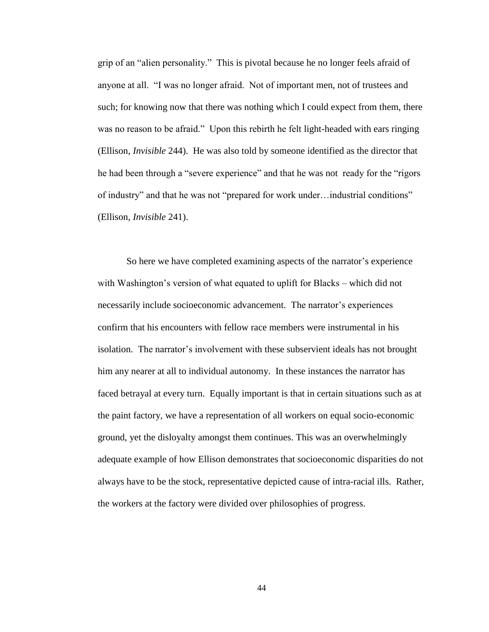grip of an "alien personality." This is pivotal because he no longer feels afraid of anyone at all. "I was no longer afraid. Not of important men, not of trustees and such; for knowing now that there was nothing which I could expect from them, there was no reason to be afraid." Upon this rebirth he felt light-headed with ears ringing (Ellison, *Invisible* 244). He was also told by someone identified as the director that he had been through a "severe experience" and that he was not ready for the "rigors of industry" and that he was not "prepared for work under…industrial conditions" (Ellison, *Invisible* 241).

So here we have completed examining aspects of the narrator's experience with Washington's version of what equated to uplift for Blacks – which did not necessarily include socioeconomic advancement. The narrator's experiences confirm that his encounters with fellow race members were instrumental in his isolation. The narrator's involvement with these subservient ideals has not brought him any nearer at all to individual autonomy. In these instances the narrator has faced betrayal at every turn. Equally important is that in certain situations such as at the paint factory, we have a representation of all workers on equal socio-economic ground, yet the disloyalty amongst them continues. This was an overwhelmingly adequate example of how Ellison demonstrates that socioeconomic disparities do not always have to be the stock, representative depicted cause of intra-racial ills. Rather, the workers at the factory were divided over philosophies of progress.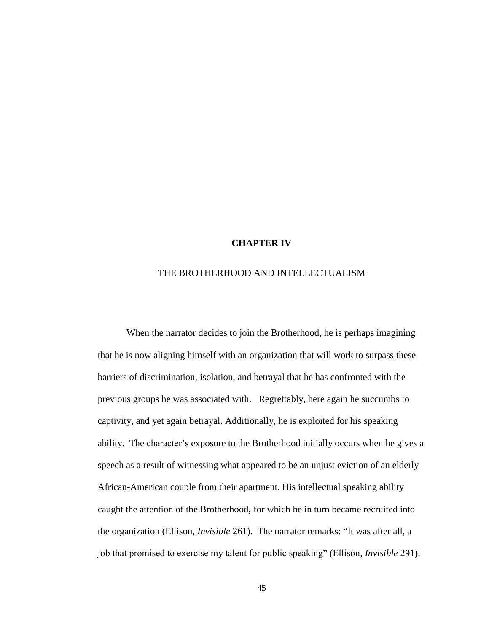#### **CHAPTER IV**

### THE BROTHERHOOD AND INTELLECTUALISM

When the narrator decides to join the Brotherhood, he is perhaps imagining that he is now aligning himself with an organization that will work to surpass these barriers of discrimination, isolation, and betrayal that he has confronted with the previous groups he was associated with. Regrettably, here again he succumbs to captivity, and yet again betrayal. Additionally, he is exploited for his speaking ability. The character's exposure to the Brotherhood initially occurs when he gives a speech as a result of witnessing what appeared to be an unjust eviction of an elderly African-American couple from their apartment. His intellectual speaking ability caught the attention of the Brotherhood, for which he in turn became recruited into the organization (Ellison, *Invisible* 261). The narrator remarks: "It was after all, a job that promised to exercise my talent for public speaking" (Ellison, *Invisible* 291).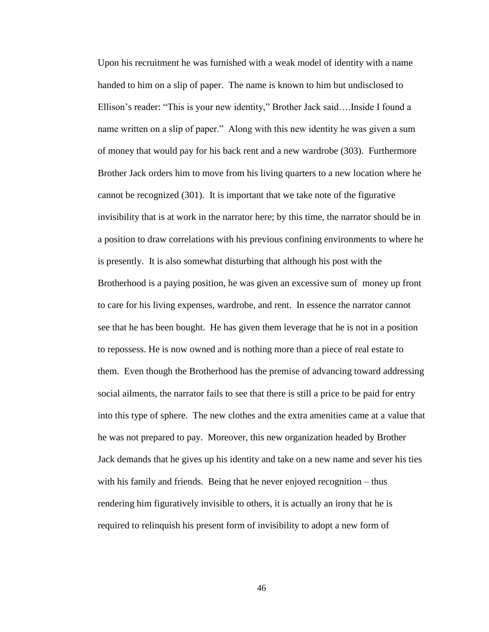Upon his recruitment he was furnished with a weak model of identity with a name handed to him on a slip of paper. The name is known to him but undisclosed to Ellison's reader: "This is your new identity," Brother Jack said….Inside I found a name written on a slip of paper." Along with this new identity he was given a sum of money that would pay for his back rent and a new wardrobe (303). Furthermore Brother Jack orders him to move from his living quarters to a new location where he cannot be recognized (301). It is important that we take note of the figurative invisibility that is at work in the narrator here; by this time, the narrator should be in a position to draw correlations with his previous confining environments to where he is presently. It is also somewhat disturbing that although his post with the Brotherhood is a paying position, he was given an excessive sum of money up front to care for his living expenses, wardrobe, and rent. In essence the narrator cannot see that he has been bought. He has given them leverage that he is not in a position to repossess. He is now owned and is nothing more than a piece of real estate to them. Even though the Brotherhood has the premise of advancing toward addressing social ailments, the narrator fails to see that there is still a price to be paid for entry into this type of sphere. The new clothes and the extra amenities came at a value that he was not prepared to pay. Moreover, this new organization headed by Brother Jack demands that he gives up his identity and take on a new name and sever his ties with his family and friends. Being that he never enjoyed recognition – thus rendering him figuratively invisible to others, it is actually an irony that he is required to relinquish his present form of invisibility to adopt a new form of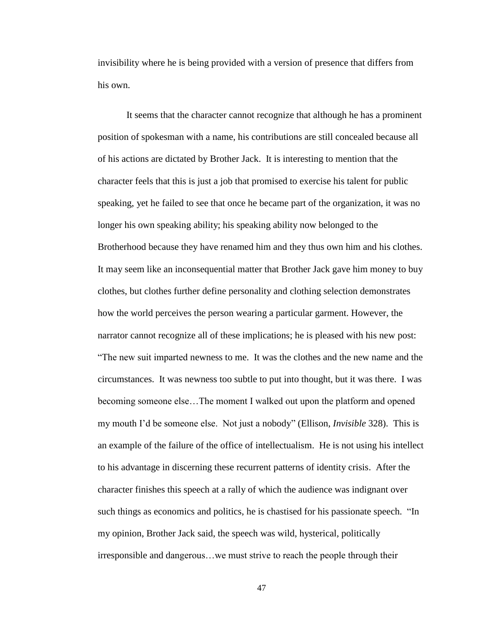invisibility where he is being provided with a version of presence that differs from his own.

It seems that the character cannot recognize that although he has a prominent position of spokesman with a name, his contributions are still concealed because all of his actions are dictated by Brother Jack. It is interesting to mention that the character feels that this is just a job that promised to exercise his talent for public speaking, yet he failed to see that once he became part of the organization, it was no longer his own speaking ability; his speaking ability now belonged to the Brotherhood because they have renamed him and they thus own him and his clothes. It may seem like an inconsequential matter that Brother Jack gave him money to buy clothes, but clothes further define personality and clothing selection demonstrates how the world perceives the person wearing a particular garment. However, the narrator cannot recognize all of these implications; he is pleased with his new post: "The new suit imparted newness to me. It was the clothes and the new name and the circumstances. It was newness too subtle to put into thought, but it was there. I was becoming someone else…The moment I walked out upon the platform and opened my mouth I'd be someone else. Not just a nobody" (Ellison, *Invisible* 328). This is an example of the failure of the office of intellectualism. He is not using his intellect to his advantage in discerning these recurrent patterns of identity crisis. After the character finishes this speech at a rally of which the audience was indignant over such things as economics and politics, he is chastised for his passionate speech. "In my opinion, Brother Jack said, the speech was wild, hysterical, politically irresponsible and dangerous…we must strive to reach the people through their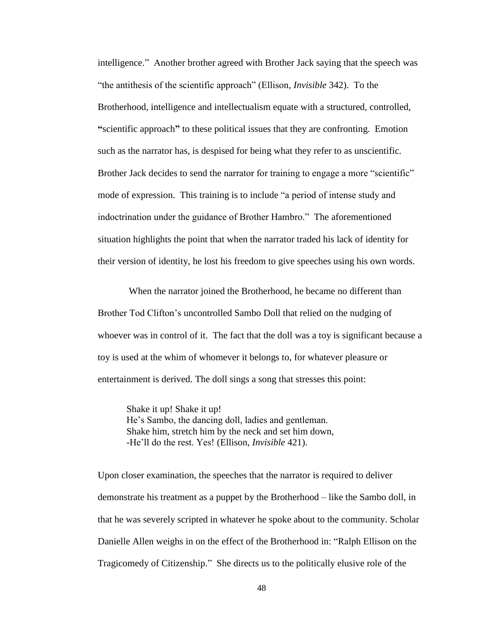intelligence." Another brother agreed with Brother Jack saying that the speech was "the antithesis of the scientific approach" (Ellison, *Invisible* 342). To the Brotherhood, intelligence and intellectualism equate with a structured, controlled, **"**scientific approach**"** to these political issues that they are confronting. Emotion such as the narrator has, is despised for being what they refer to as unscientific. Brother Jack decides to send the narrator for training to engage a more "scientific" mode of expression. This training is to include "a period of intense study and indoctrination under the guidance of Brother Hambro." The aforementioned situation highlights the point that when the narrator traded his lack of identity for their version of identity, he lost his freedom to give speeches using his own words.

When the narrator joined the Brotherhood, he became no different than Brother Tod Clifton's uncontrolled Sambo Doll that relied on the nudging of whoever was in control of it. The fact that the doll was a toy is significant because a toy is used at the whim of whomever it belongs to, for whatever pleasure or entertainment is derived. The doll sings a song that stresses this point:

Shake it up! Shake it up! He's Sambo, the dancing doll, ladies and gentleman. Shake him, stretch him by the neck and set him down, -He'll do the rest. Yes! (Ellison, *Invisible* 421).

Upon closer examination, the speeches that the narrator is required to deliver demonstrate his treatment as a puppet by the Brotherhood – like the Sambo doll, in that he was severely scripted in whatever he spoke about to the community. Scholar Danielle Allen weighs in on the effect of the Brotherhood in: "Ralph Ellison on the Tragicomedy of Citizenship." She directs us to the politically elusive role of the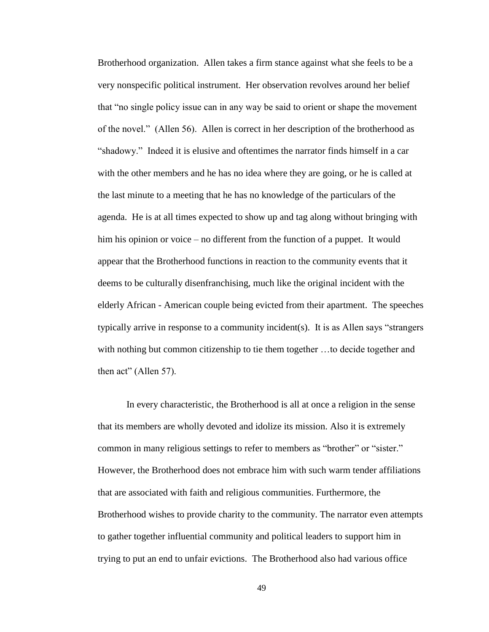Brotherhood organization. Allen takes a firm stance against what she feels to be a very nonspecific political instrument. Her observation revolves around her belief that "no single policy issue can in any way be said to orient or shape the movement of the novel." (Allen 56). Allen is correct in her description of the brotherhood as "shadowy." Indeed it is elusive and oftentimes the narrator finds himself in a car with the other members and he has no idea where they are going, or he is called at the last minute to a meeting that he has no knowledge of the particulars of the agenda. He is at all times expected to show up and tag along without bringing with him his opinion or voice – no different from the function of a puppet. It would appear that the Brotherhood functions in reaction to the community events that it deems to be culturally disenfranchising, much like the original incident with the elderly African - American couple being evicted from their apartment. The speeches typically arrive in response to a community incident(s). It is as Allen says "strangers with nothing but common citizenship to tie them together …to decide together and then act" (Allen 57).

In every characteristic, the Brotherhood is all at once a religion in the sense that its members are wholly devoted and idolize its mission. Also it is extremely common in many religious settings to refer to members as "brother" or "sister." However, the Brotherhood does not embrace him with such warm tender affiliations that are associated with faith and religious communities. Furthermore, the Brotherhood wishes to provide charity to the community. The narrator even attempts to gather together influential community and political leaders to support him in trying to put an end to unfair evictions. The Brotherhood also had various office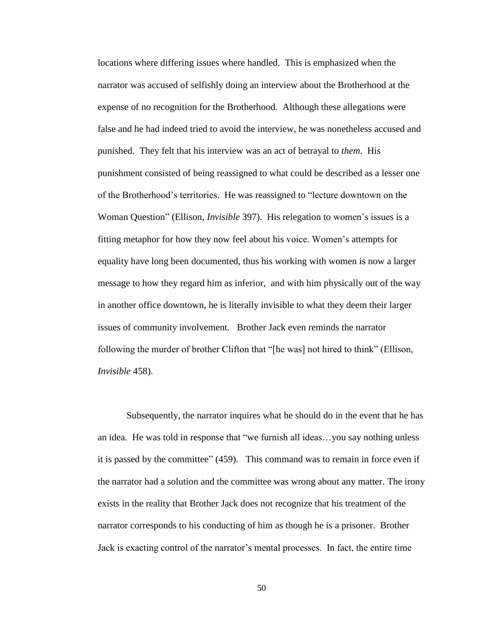locations where differing issues where handled. This is emphasized when the narrator was accused of selfishly doing an interview about the Brotherhood at the expense of no recognition for the Brotherhood. Although these allegations were false and he had indeed tried to avoid the interview, he was nonetheless accused and punished. They felt that his interview was an act of betrayal to *them*. His punishment consisted of being reassigned to what could be described as a lesser one of the Brotherhood's territories. He was reassigned to "lecture downtown on the Woman Question" (Ellison, *Invisible* 397). His relegation to women's issues is a fitting metaphor for how they now feel about his voice. Women's attempts for equality have long been documented, thus his working with women is now a larger message to how they regard him as inferior, and with him physically out of the way in another office downtown, he is literally invisible to what they deem their larger issues of community involvement. Brother Jack even reminds the narrator following the murder of brother Clifton that "[he was] not hired to think" (Ellison, *Invisible* 458).

Subsequently, the narrator inquires what he should do in the event that he has an idea. He was told in response that "we furnish all ideas…you say nothing unless it is passed by the committee" (459). This command was to remain in force even if the narrator had a solution and the committee was wrong about any matter. The irony exists in the reality that Brother Jack does not recognize that his treatment of the narrator corresponds to his conducting of him as though he is a prisoner. Brother Jack is exacting control of the narrator's mental processes. In fact, the entire time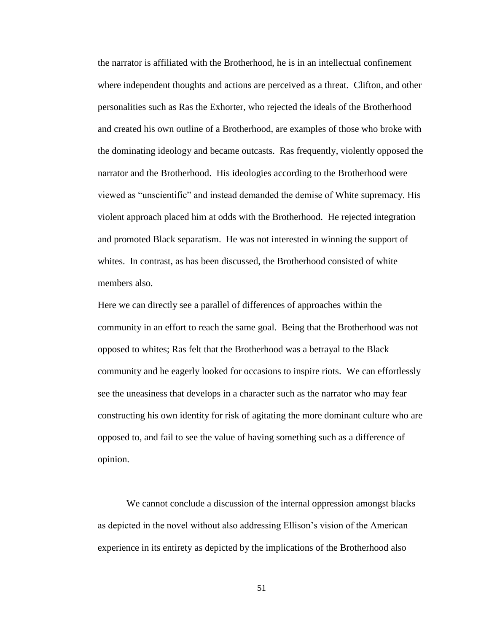the narrator is affiliated with the Brotherhood, he is in an intellectual confinement where independent thoughts and actions are perceived as a threat. Clifton, and other personalities such as Ras the Exhorter, who rejected the ideals of the Brotherhood and created his own outline of a Brotherhood, are examples of those who broke with the dominating ideology and became outcasts. Ras frequently, violently opposed the narrator and the Brotherhood. His ideologies according to the Brotherhood were viewed as "unscientific" and instead demanded the demise of White supremacy. His violent approach placed him at odds with the Brotherhood. He rejected integration and promoted Black separatism. He was not interested in winning the support of whites. In contrast, as has been discussed, the Brotherhood consisted of white members also.

Here we can directly see a parallel of differences of approaches within the community in an effort to reach the same goal. Being that the Brotherhood was not opposed to whites; Ras felt that the Brotherhood was a betrayal to the Black community and he eagerly looked for occasions to inspire riots. We can effortlessly see the uneasiness that develops in a character such as the narrator who may fear constructing his own identity for risk of agitating the more dominant culture who are opposed to, and fail to see the value of having something such as a difference of opinion.

We cannot conclude a discussion of the internal oppression amongst blacks as depicted in the novel without also addressing Ellison's vision of the American experience in its entirety as depicted by the implications of the Brotherhood also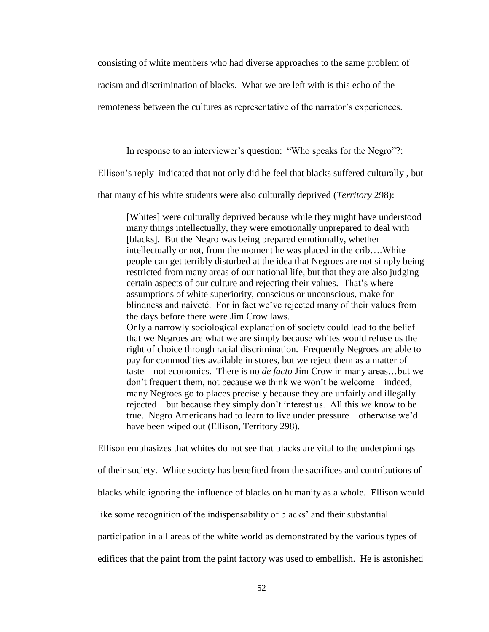consisting of white members who had diverse approaches to the same problem of

racism and discrimination of blacks. What we are left with is this echo of the

remoteness between the cultures as representative of the narrator's experiences.

In response to an interviewer's question: "Who speaks for the Negro"?:

Ellison's reply indicated that not only did he feel that blacks suffered culturally , but

that many of his white students were also culturally deprived (*Territory* 298):

[Whites] were culturally deprived because while they might have understood many things intellectually, they were emotionally unprepared to deal with [blacks]. But the Negro was being prepared emotionally, whether intellectually or not, from the moment he was placed in the crib….White people can get terribly disturbed at the idea that Negroes are not simply being restricted from many areas of our national life, but that they are also judging certain aspects of our culture and rejecting their values. That's where assumptions of white superiority, conscious or unconscious, make for blindness and naiveté. For in fact we've rejected many of their values from the days before there were Jim Crow laws. Only a narrowly sociological explanation of society could lead to the belief that we Negroes are what we are simply because whites would refuse us the right of choice through racial discrimination. Frequently Negroes are able to pay for commodities available in stores, but we reject them as a matter of taste – not economics. There is no *de facto* Jim Crow in many areas…but we don't frequent them, not because we think we won't be welcome – indeed, many Negroes go to places precisely because they are unfairly and illegally rejected – but because they simply don't interest us. All this *we* know to be true. Negro Americans had to learn to live under pressure – otherwise we'd

have been wiped out (Ellison, Territory 298).

Ellison emphasizes that whites do not see that blacks are vital to the underpinnings

of their society. White society has benefited from the sacrifices and contributions of

blacks while ignoring the influence of blacks on humanity as a whole. Ellison would

like some recognition of the indispensability of blacks' and their substantial

participation in all areas of the white world as demonstrated by the various types of

edifices that the paint from the paint factory was used to embellish. He is astonished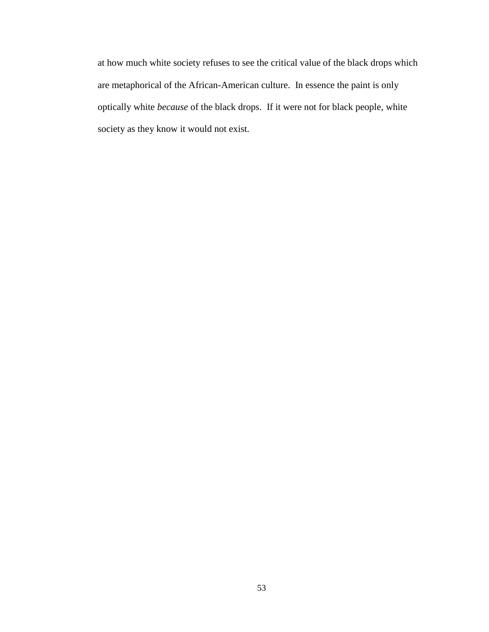at how much white society refuses to see the critical value of the black drops which are metaphorical of the African-American culture. In essence the paint is only optically white *because* of the black drops. If it were not for black people, white society as they know it would not exist.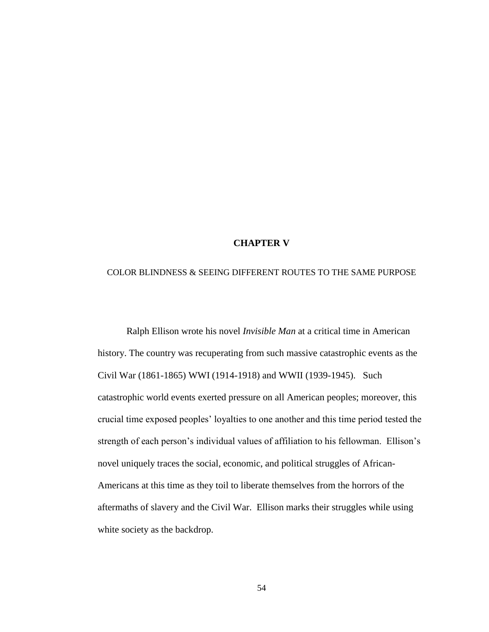### **CHAPTER V**

#### COLOR BLINDNESS & SEEING DIFFERENT ROUTES TO THE SAME PURPOSE

Ralph Ellison wrote his novel *Invisible Man* at a critical time in American history. The country was recuperating from such massive catastrophic events as the Civil War (1861-1865) WWI (1914-1918) and WWII (1939-1945). Such catastrophic world events exerted pressure on all American peoples; moreover, this crucial time exposed peoples' loyalties to one another and this time period tested the strength of each person's individual values of affiliation to his fellowman. Ellison's novel uniquely traces the social, economic, and political struggles of African-Americans at this time as they toil to liberate themselves from the horrors of the aftermaths of slavery and the Civil War. Ellison marks their struggles while using white society as the backdrop.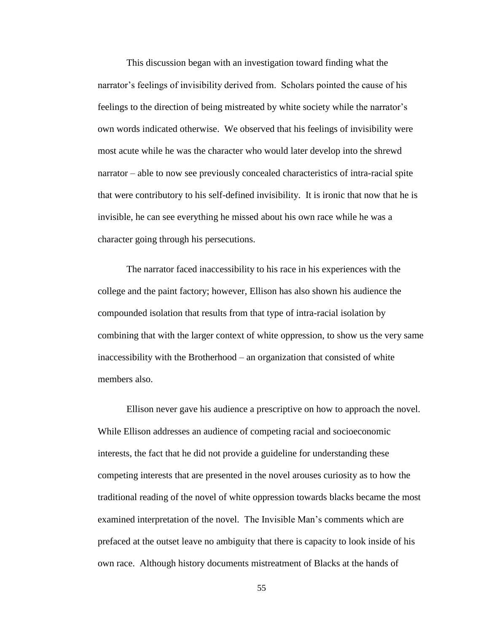This discussion began with an investigation toward finding what the narrator's feelings of invisibility derived from. Scholars pointed the cause of his feelings to the direction of being mistreated by white society while the narrator's own words indicated otherwise. We observed that his feelings of invisibility were most acute while he was the character who would later develop into the shrewd narrator – able to now see previously concealed characteristics of intra-racial spite that were contributory to his self-defined invisibility. It is ironic that now that he is invisible, he can see everything he missed about his own race while he was a character going through his persecutions.

The narrator faced inaccessibility to his race in his experiences with the college and the paint factory; however, Ellison has also shown his audience the compounded isolation that results from that type of intra-racial isolation by combining that with the larger context of white oppression, to show us the very same inaccessibility with the Brotherhood – an organization that consisted of white members also.

Ellison never gave his audience a prescriptive on how to approach the novel. While Ellison addresses an audience of competing racial and socioeconomic interests, the fact that he did not provide a guideline for understanding these competing interests that are presented in the novel arouses curiosity as to how the traditional reading of the novel of white oppression towards blacks became the most examined interpretation of the novel. The Invisible Man's comments which are prefaced at the outset leave no ambiguity that there is capacity to look inside of his own race. Although history documents mistreatment of Blacks at the hands of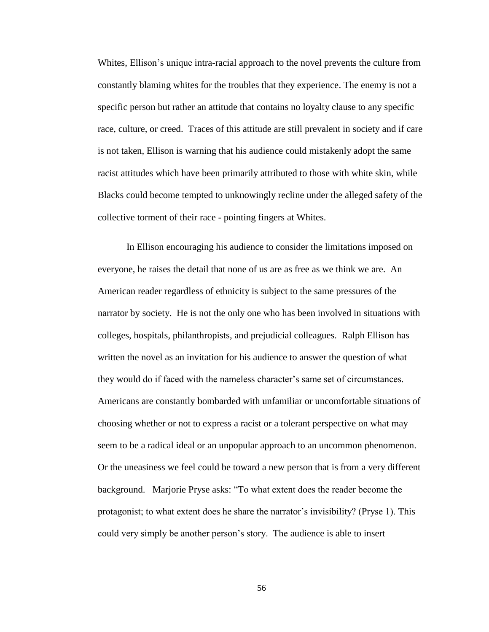Whites, Ellison's unique intra-racial approach to the novel prevents the culture from constantly blaming whites for the troubles that they experience. The enemy is not a specific person but rather an attitude that contains no loyalty clause to any specific race, culture, or creed. Traces of this attitude are still prevalent in society and if care is not taken, Ellison is warning that his audience could mistakenly adopt the same racist attitudes which have been primarily attributed to those with white skin, while Blacks could become tempted to unknowingly recline under the alleged safety of the collective torment of their race - pointing fingers at Whites.

In Ellison encouraging his audience to consider the limitations imposed on everyone, he raises the detail that none of us are as free as we think we are. An American reader regardless of ethnicity is subject to the same pressures of the narrator by society. He is not the only one who has been involved in situations with colleges, hospitals, philanthropists, and prejudicial colleagues. Ralph Ellison has written the novel as an invitation for his audience to answer the question of what they would do if faced with the nameless character's same set of circumstances. Americans are constantly bombarded with unfamiliar or uncomfortable situations of choosing whether or not to express a racist or a tolerant perspective on what may seem to be a radical ideal or an unpopular approach to an uncommon phenomenon. Or the uneasiness we feel could be toward a new person that is from a very different background. Marjorie Pryse asks: "To what extent does the reader become the protagonist; to what extent does he share the narrator's invisibility? (Pryse 1). This could very simply be another person's story. The audience is able to insert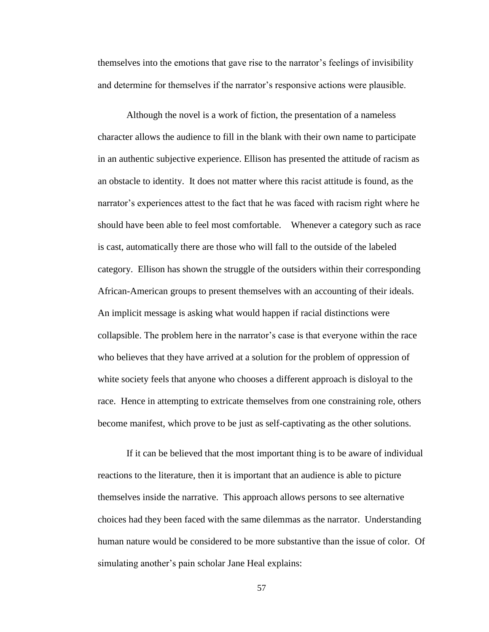themselves into the emotions that gave rise to the narrator's feelings of invisibility and determine for themselves if the narrator's responsive actions were plausible.

Although the novel is a work of fiction, the presentation of a nameless character allows the audience to fill in the blank with their own name to participate in an authentic subjective experience. Ellison has presented the attitude of racism as an obstacle to identity. It does not matter where this racist attitude is found, as the narrator's experiences attest to the fact that he was faced with racism right where he should have been able to feel most comfortable. Whenever a category such as race is cast, automatically there are those who will fall to the outside of the labeled category. Ellison has shown the struggle of the outsiders within their corresponding African-American groups to present themselves with an accounting of their ideals. An implicit message is asking what would happen if racial distinctions were collapsible. The problem here in the narrator's case is that everyone within the race who believes that they have arrived at a solution for the problem of oppression of white society feels that anyone who chooses a different approach is disloyal to the race. Hence in attempting to extricate themselves from one constraining role, others become manifest, which prove to be just as self-captivating as the other solutions.

If it can be believed that the most important thing is to be aware of individual reactions to the literature, then it is important that an audience is able to picture themselves inside the narrative. This approach allows persons to see alternative choices had they been faced with the same dilemmas as the narrator. Understanding human nature would be considered to be more substantive than the issue of color. Of simulating another's pain scholar Jane Heal explains: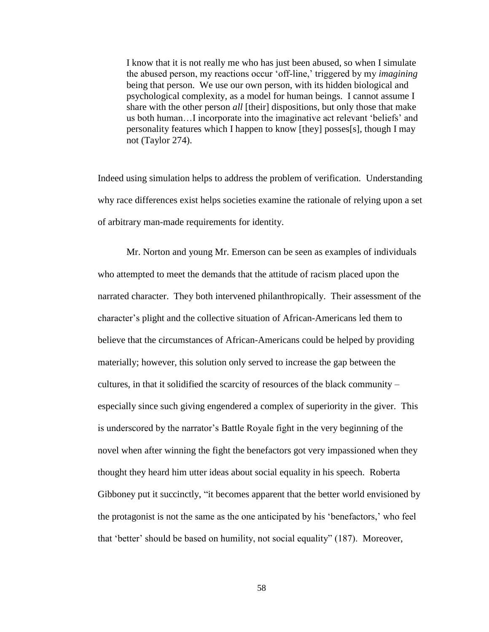I know that it is not really me who has just been abused, so when I simulate the abused person, my reactions occur 'off-line,' triggered by my *imagining* being that person. We use our own person, with its hidden biological and psychological complexity, as a model for human beings. I cannot assume I share with the other person *all* [their] dispositions, but only those that make us both human…I incorporate into the imaginative act relevant 'beliefs' and personality features which I happen to know [they] posses[s], though I may not (Taylor 274).

Indeed using simulation helps to address the problem of verification. Understanding why race differences exist helps societies examine the rationale of relying upon a set of arbitrary man-made requirements for identity.

Mr. Norton and young Mr. Emerson can be seen as examples of individuals who attempted to meet the demands that the attitude of racism placed upon the narrated character. They both intervened philanthropically. Their assessment of the character's plight and the collective situation of African-Americans led them to believe that the circumstances of African-Americans could be helped by providing materially; however, this solution only served to increase the gap between the cultures, in that it solidified the scarcity of resources of the black community – especially since such giving engendered a complex of superiority in the giver. This is underscored by the narrator's Battle Royale fight in the very beginning of the novel when after winning the fight the benefactors got very impassioned when they thought they heard him utter ideas about social equality in his speech. Roberta Gibboney put it succinctly, "it becomes apparent that the better world envisioned by the protagonist is not the same as the one anticipated by his 'benefactors,' who feel that 'better' should be based on humility, not social equality" (187). Moreover,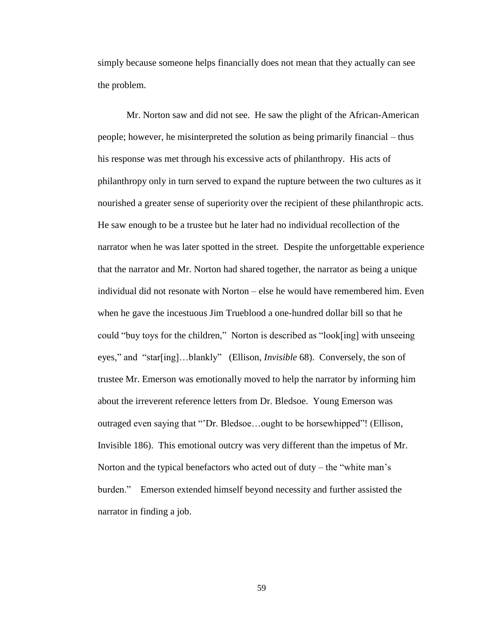simply because someone helps financially does not mean that they actually can see the problem.

Mr. Norton saw and did not see. He saw the plight of the African-American people; however, he misinterpreted the solution as being primarily financial – thus his response was met through his excessive acts of philanthropy. His acts of philanthropy only in turn served to expand the rupture between the two cultures as it nourished a greater sense of superiority over the recipient of these philanthropic acts. He saw enough to be a trustee but he later had no individual recollection of the narrator when he was later spotted in the street. Despite the unforgettable experience that the narrator and Mr. Norton had shared together, the narrator as being a unique individual did not resonate with Norton – else he would have remembered him. Even when he gave the incestuous Jim Trueblood a one-hundred dollar bill so that he could "buy toys for the children," Norton is described as "look[ing] with unseeing eyes," and "star[ing]…blankly" (Ellison, *Invisible* 68). Conversely, the son of trustee Mr. Emerson was emotionally moved to help the narrator by informing him about the irreverent reference letters from Dr. Bledsoe. Young Emerson was outraged even saying that "'Dr. Bledsoe…ought to be horsewhipped"! (Ellison, Invisible 186). This emotional outcry was very different than the impetus of Mr. Norton and the typical benefactors who acted out of duty – the "white man's burden." Emerson extended himself beyond necessity and further assisted the narrator in finding a job.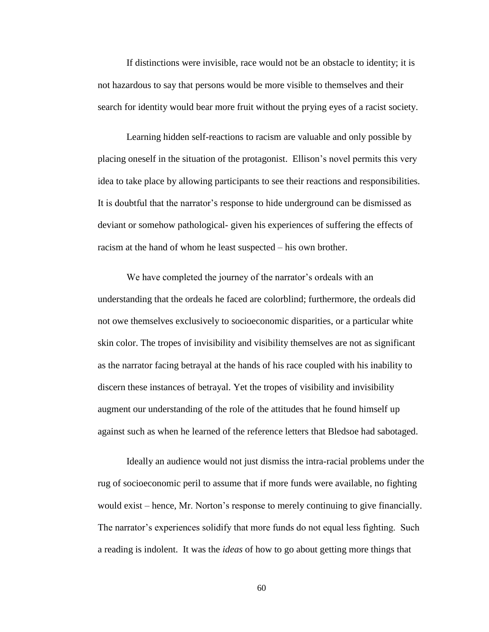If distinctions were invisible, race would not be an obstacle to identity; it is not hazardous to say that persons would be more visible to themselves and their search for identity would bear more fruit without the prying eyes of a racist society.

Learning hidden self-reactions to racism are valuable and only possible by placing oneself in the situation of the protagonist. Ellison's novel permits this very idea to take place by allowing participants to see their reactions and responsibilities. It is doubtful that the narrator's response to hide underground can be dismissed as deviant or somehow pathological- given his experiences of suffering the effects of racism at the hand of whom he least suspected – his own brother.

We have completed the journey of the narrator's ordeals with an understanding that the ordeals he faced are colorblind; furthermore, the ordeals did not owe themselves exclusively to socioeconomic disparities, or a particular white skin color. The tropes of invisibility and visibility themselves are not as significant as the narrator facing betrayal at the hands of his race coupled with his inability to discern these instances of betrayal. Yet the tropes of visibility and invisibility augment our understanding of the role of the attitudes that he found himself up against such as when he learned of the reference letters that Bledsoe had sabotaged.

Ideally an audience would not just dismiss the intra-racial problems under the rug of socioeconomic peril to assume that if more funds were available, no fighting would exist – hence, Mr. Norton's response to merely continuing to give financially. The narrator's experiences solidify that more funds do not equal less fighting. Such a reading is indolent. It was the *ideas* of how to go about getting more things that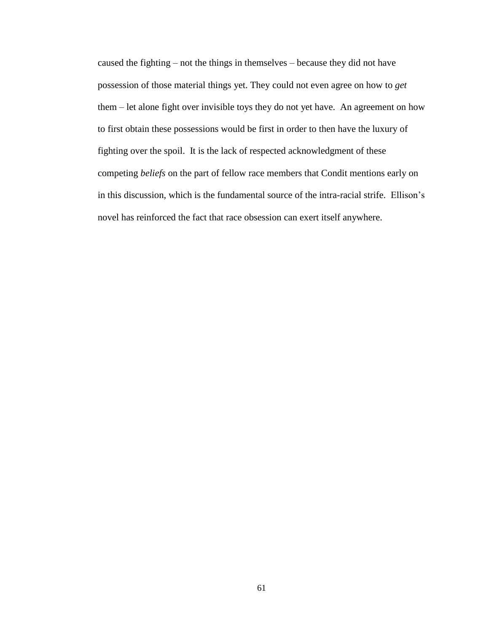caused the fighting – not the things in themselves – because they did not have possession of those material things yet. They could not even agree on how to *get* them – let alone fight over invisible toys they do not yet have. An agreement on how to first obtain these possessions would be first in order to then have the luxury of fighting over the spoil. It is the lack of respected acknowledgment of these competing *beliefs* on the part of fellow race members that Condit mentions early on in this discussion, which is the fundamental source of the intra-racial strife. Ellison's novel has reinforced the fact that race obsession can exert itself anywhere.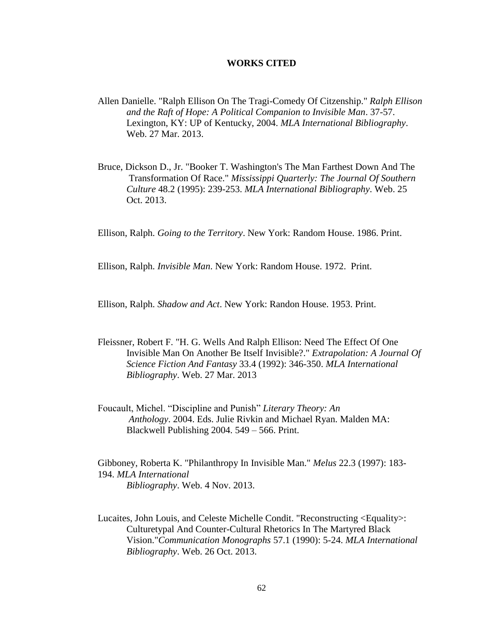#### **WORKS CITED**

- Allen Danielle. "Ralph Ellison On The Tragi-Comedy Of Citzenship." *Ralph Ellison and the Raft of Hope: A Political Companion to Invisible Man*. 37-57. Lexington, KY: UP of Kentucky, 2004. *MLA International Bibliography*. Web. 27 Mar. 2013.
- Bruce, Dickson D., Jr. "Booker T. Washington's The Man Farthest Down And The Transformation Of Race." *Mississippi Quarterly: The Journal Of Southern Culture* 48.2 (1995): 239-253. *MLA International Bibliography*. Web. 25 Oct. 2013.

Ellison, Ralph. *Going to the Territory*. New York: Random House. 1986. Print.

Ellison, Ralph. *Invisible Man*. New York: Random House. 1972. Print.

Ellison, Ralph. *Shadow and Act*. New York: Randon House. 1953. Print.

- Fleissner, Robert F. "H. G. Wells And Ralph Ellison: Need The Effect Of One Invisible Man On Another Be Itself Invisible?." *Extrapolation: A Journal Of Science Fiction And Fantasy* 33.4 (1992): 346-350. *MLA International Bibliography*. Web. 27 Mar. 2013
- Foucault, Michel. "Discipline and Punish" *Literary Theory: An Anthology*. 2004. Eds. Julie Rivkin and Michael Ryan. Malden MA: Blackwell Publishing 2004. 549 – 566. Print.

Gibboney, Roberta K. "Philanthropy In Invisible Man." *Melus* 22.3 (1997): 183- 194. *MLA International Bibliography*. Web. 4 Nov. 2013.

Lucaites, John Louis, and Celeste Michelle Condit. "Reconstructing <Equality>: Culturetypal And Counter-Cultural Rhetorics In The Martyred Black Vision."*Communication Monographs* 57.1 (1990): 5-24. *MLA International Bibliography*. Web. 26 Oct. 2013.